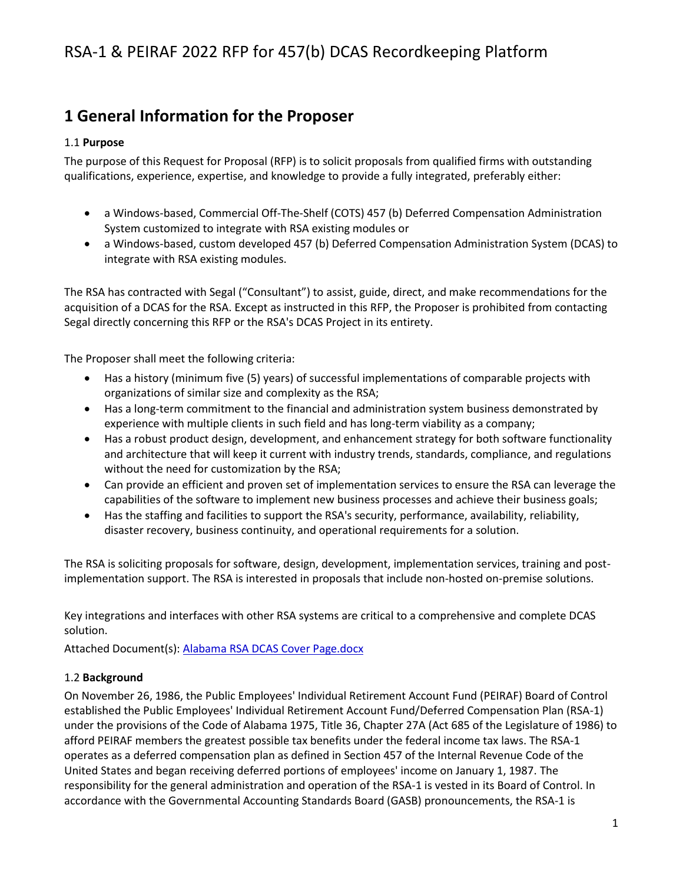## **1 General Information for the Proposer**

### 1.1 **Purpose**

The purpose of this Request for Proposal (RFP) is to solicit proposals from qualified firms with outstanding qualifications, experience, expertise, and knowledge to provide a fully integrated, preferably either:

- a Windows-based, Commercial Off-The-Shelf (COTS) 457 (b) Deferred Compensation Administration System customized to integrate with RSA existing modules or
- a Windows-based, custom developed 457 (b) Deferred Compensation Administration System (DCAS) to integrate with RSA existing modules.

The RSA has contracted with Segal ("Consultant") to assist, guide, direct, and make recommendations for the acquisition of a DCAS for the RSA. Except as instructed in this RFP, the Proposer is prohibited from contacting Segal directly concerning this RFP or the RSA's DCAS Project in its entirety.

The Proposer shall meet the following criteria:

- Has a history (minimum five (5) years) of successful implementations of comparable projects with organizations of similar size and complexity as the RSA;
- Has a long-term commitment to the financial and administration system business demonstrated by experience with multiple clients in such field and has long-term viability as a company;
- Has a robust product design, development, and enhancement strategy for both software functionality and architecture that will keep it current with industry trends, standards, compliance, and regulations without the need for customization by the RSA;
- Can provide an efficient and proven set of implementation services to ensure the RSA can leverage the capabilities of the software to implement new business processes and achieve their business goals;
- Has the staffing and facilities to support the RSA's security, performance, availability, reliability, disaster recovery, business continuity, and operational requirements for a solution.

The RSA is soliciting proposals for software, design, development, implementation services, training and postimplementation support. The RSA is interested in proposals that include non-hosted on-premise solutions.

Key integrations and interfaces with other RSA systems are critical to a comprehensive and complete DCAS solution.

Attached Document(s): [Alabama RSA DCAS Cover Page.docx](file:///C:/Users/hhein/Downloads/api/doc.php/94955716%3fdoc_id=94955716&howname=0&viachild=1&sessid=v5adminsegal36282_4072_02&popup=1)

### 1.2 **Background**

On November 26, 1986, the Public Employees' Individual Retirement Account Fund (PEIRAF) Board of Control established the Public Employees' Individual Retirement Account Fund/Deferred Compensation Plan (RSA-1) under the provisions of the Code of Alabama 1975, Title 36, Chapter 27A (Act 685 of the Legislature of 1986) to afford PEIRAF members the greatest possible tax benefits under the federal income tax laws. The RSA-1 operates as a deferred compensation plan as defined in Section 457 of the Internal Revenue Code of the United States and began receiving deferred portions of employees' income on January 1, 1987. The responsibility for the general administration and operation of the RSA-1 is vested in its Board of Control. In accordance with the Governmental Accounting Standards Board (GASB) pronouncements, the RSA-1 is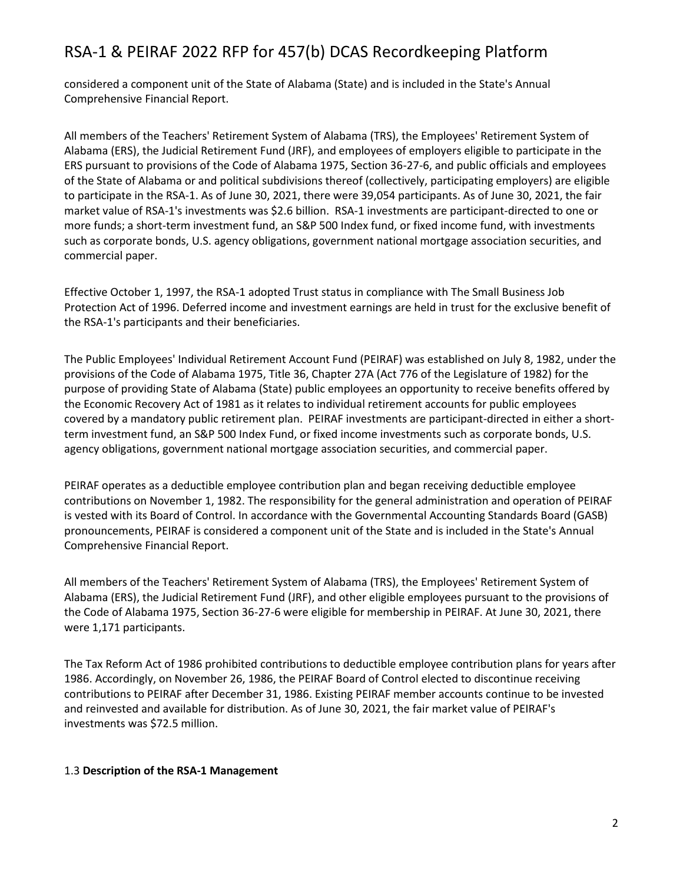considered a component unit of the State of Alabama (State) and is included in the State's Annual Comprehensive Financial Report.

All members of the Teachers' Retirement System of Alabama (TRS), the Employees' Retirement System of Alabama (ERS), the Judicial Retirement Fund (JRF), and employees of employers eligible to participate in the ERS pursuant to provisions of the Code of Alabama 1975, Section 36-27-6, and public officials and employees of the State of Alabama or and political subdivisions thereof (collectively, participating employers) are eligible to participate in the RSA-1. As of June 30, 2021, there were 39,054 participants. As of June 30, 2021, the fair market value of RSA-1's investments was \$2.6 billion. RSA-1 investments are participant-directed to one or more funds; a short-term investment fund, an S&P 500 Index fund, or fixed income fund, with investments such as corporate bonds, U.S. agency obligations, government national mortgage association securities, and commercial paper.

Effective October 1, 1997, the RSA-1 adopted Trust status in compliance with The Small Business Job Protection Act of 1996. Deferred income and investment earnings are held in trust for the exclusive benefit of the RSA-1's participants and their beneficiaries.

The Public Employees' Individual Retirement Account Fund (PEIRAF) was established on July 8, 1982, under the provisions of the Code of Alabama 1975, Title 36, Chapter 27A (Act 776 of the Legislature of 1982) for the purpose of providing State of Alabama (State) public employees an opportunity to receive benefits offered by the Economic Recovery Act of 1981 as it relates to individual retirement accounts for public employees covered by a mandatory public retirement plan. PEIRAF investments are participant-directed in either a shortterm investment fund, an S&P 500 Index Fund, or fixed income investments such as corporate bonds, U.S. agency obligations, government national mortgage association securities, and commercial paper.

PEIRAF operates as a deductible employee contribution plan and began receiving deductible employee contributions on November 1, 1982. The responsibility for the general administration and operation of PEIRAF is vested with its Board of Control. In accordance with the Governmental Accounting Standards Board (GASB) pronouncements, PEIRAF is considered a component unit of the State and is included in the State's Annual Comprehensive Financial Report.

All members of the Teachers' Retirement System of Alabama (TRS), the Employees' Retirement System of Alabama (ERS), the Judicial Retirement Fund (JRF), and other eligible employees pursuant to the provisions of the Code of Alabama 1975, Section 36-27-6 were eligible for membership in PEIRAF. At June 30, 2021, there were 1,171 participants.

The Tax Reform Act of 1986 prohibited contributions to deductible employee contribution plans for years after 1986. Accordingly, on November 26, 1986, the PEIRAF Board of Control elected to discontinue receiving contributions to PEIRAF after December 31, 1986. Existing PEIRAF member accounts continue to be invested and reinvested and available for distribution. As of June 30, 2021, the fair market value of PEIRAF's investments was \$72.5 million.

### 1.3 **Description of the RSA-1 Management**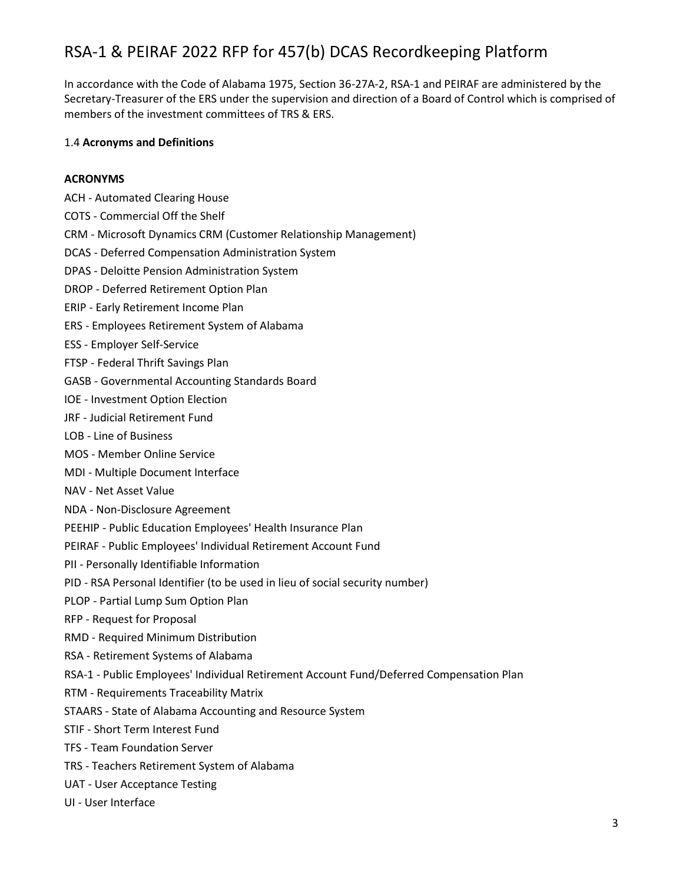In accordance with the Code of Alabama 1975, Section 36-27A-2, RSA-1 and PEIRAF are administered by the Secretary-Treasurer of the ERS under the supervision and direction of a Board of Control which is comprised of members of the investment committees of TRS & ERS.

#### 1.4 **Acronyms and Definitions**

#### **ACRONYMS**

- ACH Automated Clearing House
- COTS Commercial Off the Shelf
- CRM Microsoft Dynamics CRM (Customer Relationship Management)
- DCAS Deferred Compensation Administration System
- DPAS Deloitte Pension Administration System
- DROP Deferred Retirement Option Plan
- ERIP Early Retirement Income Plan
- ERS Employees Retirement System of Alabama
- ESS Employer Self-Service
- FTSP Federal Thrift Savings Plan
- GASB Governmental Accounting Standards Board
- IOE Investment Option Election
- JRF Judicial Retirement Fund
- LOB Line of Business
- MOS Member Online Service
- MDI Multiple Document Interface
- NAV Net Asset Value
- NDA Non-Disclosure Agreement
- PEEHIP Public Education Employees' Health Insurance Plan
- PEIRAF Public Employees' Individual Retirement Account Fund
- PII Personally Identifiable Information
- PID RSA Personal Identifier (to be used in lieu of social security number)
- PLOP Partial Lump Sum Option Plan
- RFP Request for Proposal
- RMD Required Minimum Distribution
- RSA Retirement Systems of Alabama
- RSA-1 Public Employees' Individual Retirement Account Fund/Deferred Compensation Plan
- RTM Requirements Traceability Matrix
- STAARS State of Alabama Accounting and Resource System
- STIF Short Term Interest Fund
- TFS Team Foundation Server
- TRS Teachers Retirement System of Alabama
- UAT User Acceptance Testing
- UI User Interface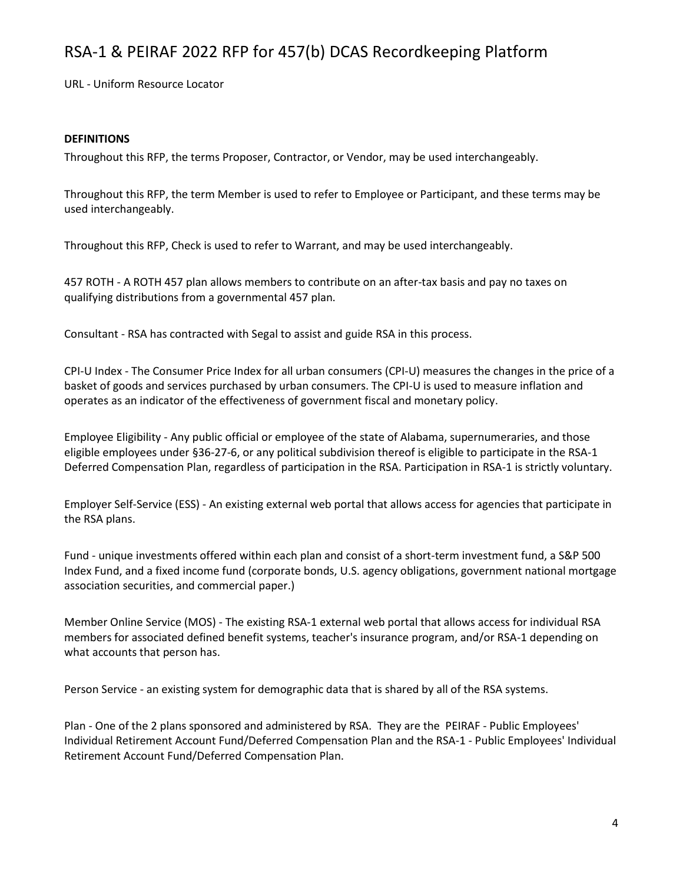URL - Uniform Resource Locator

#### **DEFINITIONS**

Throughout this RFP, the terms Proposer, Contractor, or Vendor, may be used interchangeably.

Throughout this RFP, the term Member is used to refer to Employee or Participant, and these terms may be used interchangeably.

Throughout this RFP, Check is used to refer to Warrant, and may be used interchangeably.

457 ROTH - A ROTH 457 plan allows members to contribute on an after-tax basis and pay no taxes on qualifying distributions from a governmental 457 plan.

Consultant - RSA has contracted with Segal to assist and guide RSA in this process.

CPI-U Index - The Consumer Price Index for all urban consumers (CPI-U) measures the changes in the price of a basket of goods and services purchased by urban consumers. The CPI-U is used to measure inflation and operates as an indicator of the effectiveness of government fiscal and monetary policy.

Employee Eligibility - Any public official or employee of the state of Alabama, supernumeraries, and those eligible employees under §36-27-6, or any political subdivision thereof is eligible to participate in the RSA-1 Deferred Compensation Plan, regardless of participation in the RSA. Participation in RSA-1 is strictly voluntary.

Employer Self-Service (ESS) - An existing external web portal that allows access for agencies that participate in the RSA plans.

Fund - unique investments offered within each plan and consist of a short-term investment fund, a S&P 500 Index Fund, and a fixed income fund (corporate bonds, U.S. agency obligations, government national mortgage association securities, and commercial paper.)

Member Online Service (MOS) - The existing RSA-1 external web portal that allows access for individual RSA members for associated defined benefit systems, teacher's insurance program, and/or RSA-1 depending on what accounts that person has.

Person Service - an existing system for demographic data that is shared by all of the RSA systems.

Plan - One of the 2 plans sponsored and administered by RSA. They are the PEIRAF - Public Employees' Individual Retirement Account Fund/Deferred Compensation Plan and the RSA-1 - Public Employees' Individual Retirement Account Fund/Deferred Compensation Plan.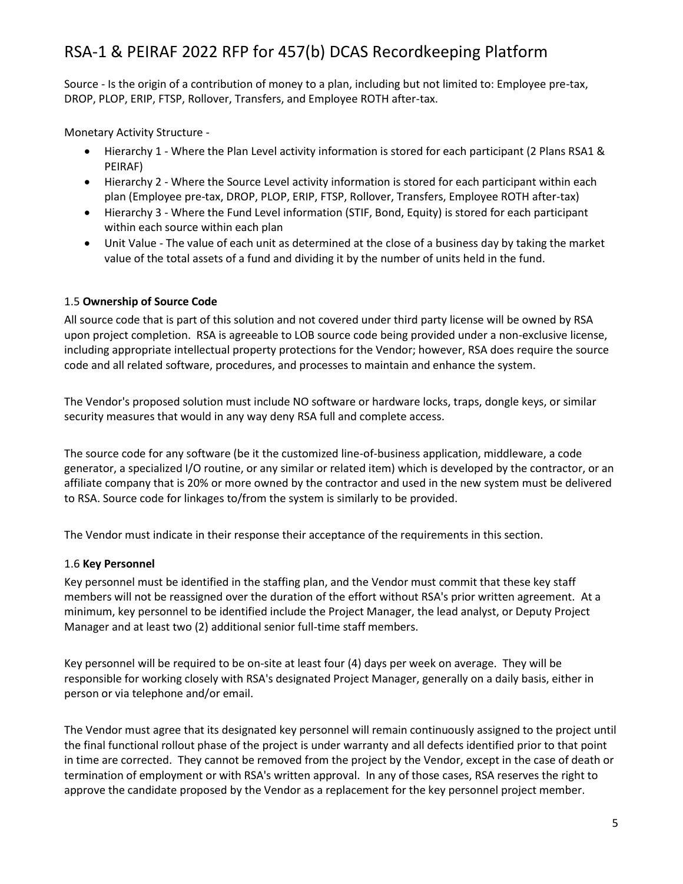Source - Is the origin of a contribution of money to a plan, including but not limited to: Employee pre-tax, DROP, PLOP, ERIP, FTSP, Rollover, Transfers, and Employee ROTH after-tax.

Monetary Activity Structure -

- Hierarchy 1 Where the Plan Level activity information is stored for each participant (2 Plans RSA1 & PEIRAF)
- Hierarchy 2 Where the Source Level activity information is stored for each participant within each plan (Employee pre-tax, DROP, PLOP, ERIP, FTSP, Rollover, Transfers, Employee ROTH after-tax)
- Hierarchy 3 Where the Fund Level information (STIF, Bond, Equity) is stored for each participant within each source within each plan
- Unit Value The value of each unit as determined at the close of a business day by taking the market value of the total assets of a fund and dividing it by the number of units held in the fund.

### 1.5 **Ownership of Source Code**

All source code that is part of this solution and not covered under third party license will be owned by RSA upon project completion. RSA is agreeable to LOB source code being provided under a non-exclusive license, including appropriate intellectual property protections for the Vendor; however, RSA does require the source code and all related software, procedures, and processes to maintain and enhance the system.

The Vendor's proposed solution must include NO software or hardware locks, traps, dongle keys, or similar security measures that would in any way deny RSA full and complete access.

The source code for any software (be it the customized line-of-business application, middleware, a code generator, a specialized I/O routine, or any similar or related item) which is developed by the contractor, or an affiliate company that is 20% or more owned by the contractor and used in the new system must be delivered to RSA. Source code for linkages to/from the system is similarly to be provided.

The Vendor must indicate in their response their acceptance of the requirements in this section.

### 1.6 **Key Personnel**

Key personnel must be identified in the staffing plan, and the Vendor must commit that these key staff members will not be reassigned over the duration of the effort without RSA's prior written agreement. At a minimum, key personnel to be identified include the Project Manager, the lead analyst, or Deputy Project Manager and at least two (2) additional senior full-time staff members.

Key personnel will be required to be on-site at least four (4) days per week on average. They will be responsible for working closely with RSA's designated Project Manager, generally on a daily basis, either in person or via telephone and/or email.

The Vendor must agree that its designated key personnel will remain continuously assigned to the project until the final functional rollout phase of the project is under warranty and all defects identified prior to that point in time are corrected. They cannot be removed from the project by the Vendor, except in the case of death or termination of employment or with RSA's written approval. In any of those cases, RSA reserves the right to approve the candidate proposed by the Vendor as a replacement for the key personnel project member.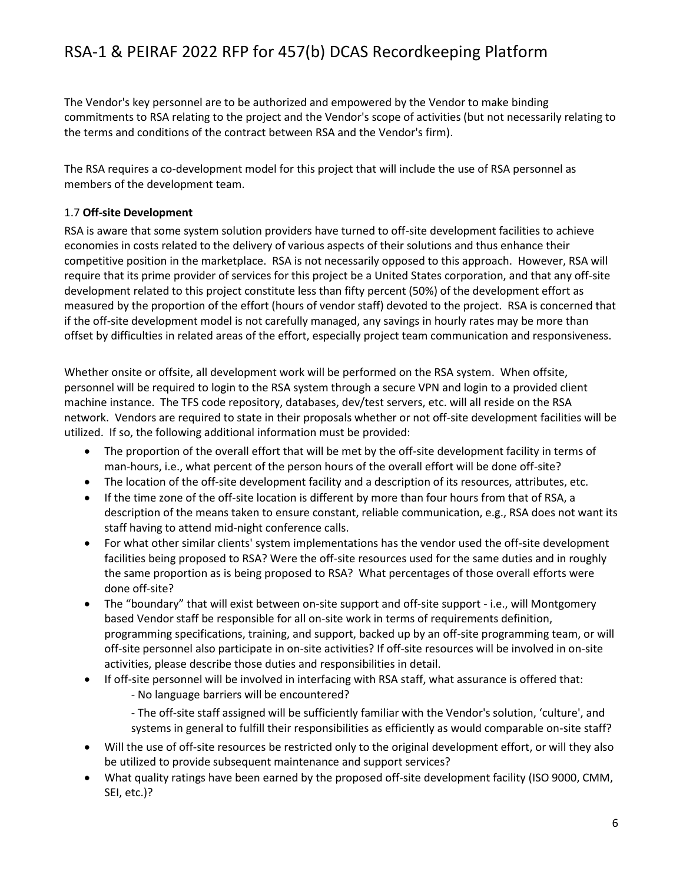The Vendor's key personnel are to be authorized and empowered by the Vendor to make binding commitments to RSA relating to the project and the Vendor's scope of activities (but not necessarily relating to the terms and conditions of the contract between RSA and the Vendor's firm).

The RSA requires a co-development model for this project that will include the use of RSA personnel as members of the development team.

#### 1.7 **Off-site Development**

RSA is aware that some system solution providers have turned to off-site development facilities to achieve economies in costs related to the delivery of various aspects of their solutions and thus enhance their competitive position in the marketplace. RSA is not necessarily opposed to this approach. However, RSA will require that its prime provider of services for this project be a United States corporation, and that any off-site development related to this project constitute less than fifty percent (50%) of the development effort as measured by the proportion of the effort (hours of vendor staff) devoted to the project. RSA is concerned that if the off-site development model is not carefully managed, any savings in hourly rates may be more than offset by difficulties in related areas of the effort, especially project team communication and responsiveness.

Whether onsite or offsite, all development work will be performed on the RSA system. When offsite, personnel will be required to login to the RSA system through a secure VPN and login to a provided client machine instance. The TFS code repository, databases, dev/test servers, etc. will all reside on the RSA network. Vendors are required to state in their proposals whether or not off-site development facilities will be utilized. If so, the following additional information must be provided:

- The proportion of the overall effort that will be met by the off-site development facility in terms of man-hours, i.e., what percent of the person hours of the overall effort will be done off-site?
- The location of the off-site development facility and a description of its resources, attributes, etc.
- If the time zone of the off-site location is different by more than four hours from that of RSA, a description of the means taken to ensure constant, reliable communication, e.g., RSA does not want its staff having to attend mid-night conference calls.
- For what other similar clients' system implementations has the vendor used the off-site development facilities being proposed to RSA? Were the off-site resources used for the same duties and in roughly the same proportion as is being proposed to RSA? What percentages of those overall efforts were done off-site?
- The "boundary" that will exist between on-site support and off-site support i.e., will Montgomery based Vendor staff be responsible for all on-site work in terms of requirements definition, programming specifications, training, and support, backed up by an off-site programming team, or will off-site personnel also participate in on-site activities? If off-site resources will be involved in on-site activities, please describe those duties and responsibilities in detail.
- If off-site personnel will be involved in interfacing with RSA staff, what assurance is offered that:
	- No language barriers will be encountered?
	- The off-site staff assigned will be sufficiently familiar with the Vendor's solution, 'culture', and systems in general to fulfill their responsibilities as efficiently as would comparable on-site staff?
- Will the use of off-site resources be restricted only to the original development effort, or will they also be utilized to provide subsequent maintenance and support services?
- What quality ratings have been earned by the proposed off-site development facility (ISO 9000, CMM, SEI, etc.)?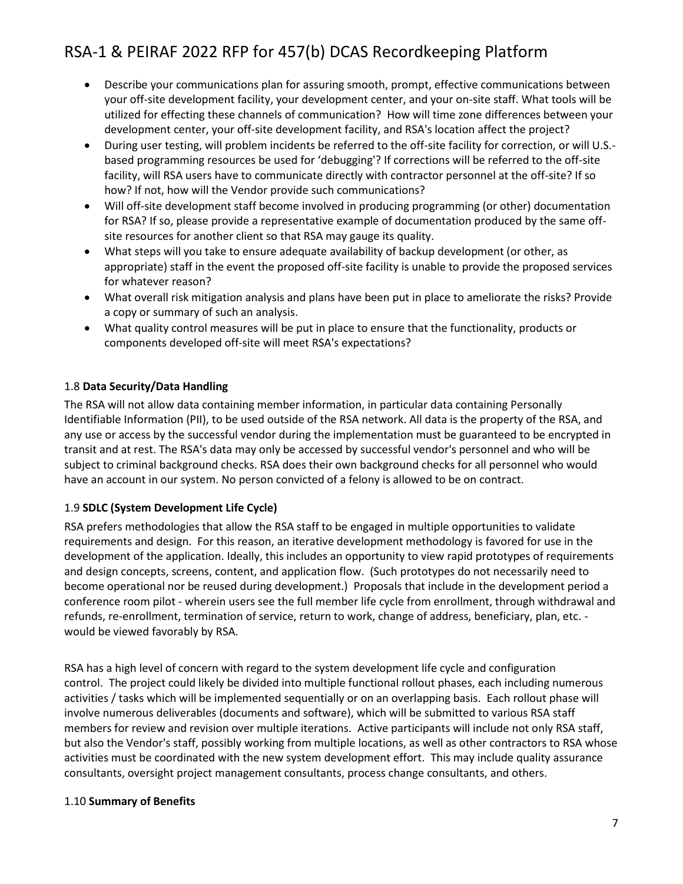- Describe your communications plan for assuring smooth, prompt, effective communications between your off-site development facility, your development center, and your on-site staff. What tools will be utilized for effecting these channels of communication? How will time zone differences between your development center, your off-site development facility, and RSA's location affect the project?
- During user testing, will problem incidents be referred to the off-site facility for correction, or will U.S. based programming resources be used for 'debugging'? If corrections will be referred to the off-site facility, will RSA users have to communicate directly with contractor personnel at the off-site? If so how? If not, how will the Vendor provide such communications?
- Will off-site development staff become involved in producing programming (or other) documentation for RSA? If so, please provide a representative example of documentation produced by the same offsite resources for another client so that RSA may gauge its quality.
- What steps will you take to ensure adequate availability of backup development (or other, as appropriate) staff in the event the proposed off-site facility is unable to provide the proposed services for whatever reason?
- What overall risk mitigation analysis and plans have been put in place to ameliorate the risks? Provide a copy or summary of such an analysis.
- What quality control measures will be put in place to ensure that the functionality, products or components developed off-site will meet RSA's expectations?

### 1.8 **Data Security/Data Handling**

The RSA will not allow data containing member information, in particular data containing Personally Identifiable Information (PII), to be used outside of the RSA network. All data is the property of the RSA, and any use or access by the successful vendor during the implementation must be guaranteed to be encrypted in transit and at rest. The RSA's data may only be accessed by successful vendor's personnel and who will be subject to criminal background checks. RSA does their own background checks for all personnel who would have an account in our system. No person convicted of a felony is allowed to be on contract.

### 1.9 **SDLC (System Development Life Cycle)**

RSA prefers methodologies that allow the RSA staff to be engaged in multiple opportunities to validate requirements and design. For this reason, an iterative development methodology is favored for use in the development of the application. Ideally, this includes an opportunity to view rapid prototypes of requirements and design concepts, screens, content, and application flow. (Such prototypes do not necessarily need to become operational nor be reused during development.) Proposals that include in the development period a conference room pilot - wherein users see the full member life cycle from enrollment, through withdrawal and refunds, re-enrollment, termination of service, return to work, change of address, beneficiary, plan, etc. would be viewed favorably by RSA.

RSA has a high level of concern with regard to the system development life cycle and configuration control. The project could likely be divided into multiple functional rollout phases, each including numerous activities / tasks which will be implemented sequentially or on an overlapping basis. Each rollout phase will involve numerous deliverables (documents and software), which will be submitted to various RSA staff members for review and revision over multiple iterations. Active participants will include not only RSA staff, but also the Vendor's staff, possibly working from multiple locations, as well as other contractors to RSA whose activities must be coordinated with the new system development effort. This may include quality assurance consultants, oversight project management consultants, process change consultants, and others.

### 1.10 **Summary of Benefits**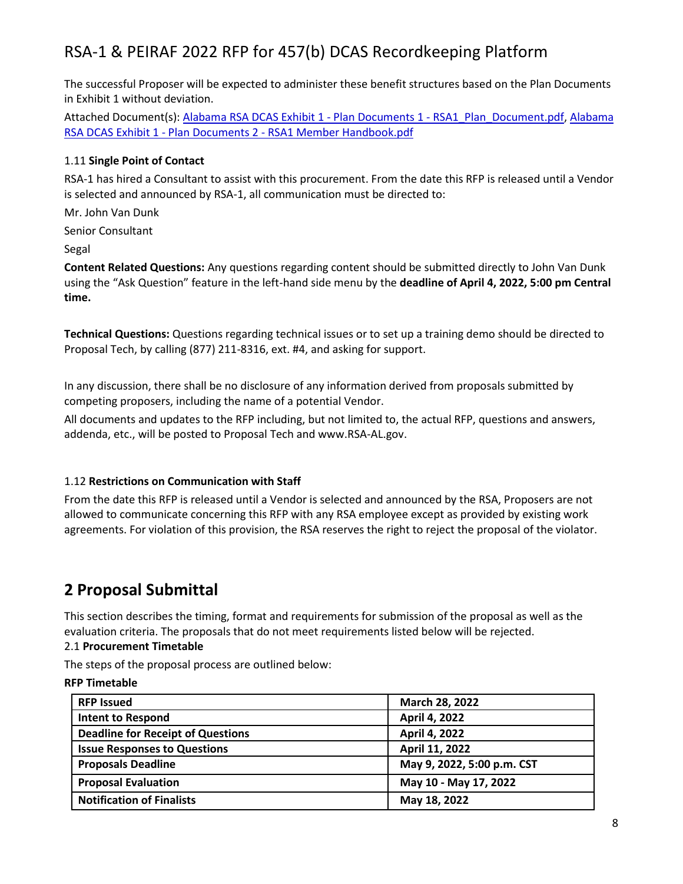The successful Proposer will be expected to administer these benefit structures based on the Plan Documents in Exhibit 1 without deviation.

Attached Document(s): [Alabama RSA DCAS Exhibit 1 -](file:///C:/Users/hhein/Downloads/api/doc.php/94038051%3fdoc_id=94038051&howname=0&viachild=1&sessid=v5adminsegal36282_4072_02&popup=1) Plan Documents 1 - RSA1\_Plan\_Document.pdf, [Alabama](file:///C:/Users/hhein/Downloads/api/doc.php/94038050%3fdoc_id=94038050&howname=0&viachild=1&sessid=v5adminsegal36282_4072_02&popup=1)  RSA DCAS Exhibit 1 - Plan Documents 2 - [RSA1 Member Handbook.pdf](file:///C:/Users/hhein/Downloads/api/doc.php/94038050%3fdoc_id=94038050&howname=0&viachild=1&sessid=v5adminsegal36282_4072_02&popup=1)

### 1.11 **Single Point of Contact**

RSA-1 has hired a Consultant to assist with this procurement. From the date this RFP is released until a Vendor is selected and announced by RSA-1, all communication must be directed to:

Mr. John Van Dunk

Senior Consultant

Segal

**Content Related Questions:** Any questions regarding content should be submitted directly to John Van Dunk using the "Ask Question" feature in the left-hand side menu by the **deadline of April 4, 2022, 5:00 pm Central time.**

**Technical Questions:** Questions regarding technical issues or to set up a training demo should be directed to Proposal Tech, by calling (877) 211-8316, ext. #4, and asking for support.

In any discussion, there shall be no disclosure of any information derived from proposals submitted by competing proposers, including the name of a potential Vendor.

All documents and updates to the RFP including, but not limited to, the actual RFP, questions and answers, addenda, etc., will be posted to Proposal Tech and www.RSA-AL.gov.

### 1.12 **Restrictions on Communication with Staff**

From the date this RFP is released until a Vendor is selected and announced by the RSA, Proposers are not allowed to communicate concerning this RFP with any RSA employee except as provided by existing work agreements. For violation of this provision, the RSA reserves the right to reject the proposal of the violator.

## **2 Proposal Submittal**

This section describes the timing, format and requirements for submission of the proposal as well as the evaluation criteria. The proposals that do not meet requirements listed below will be rejected.

### 2.1 **Procurement Timetable**

The steps of the proposal process are outlined below:

### **RFP Timetable**

| <b>RFP Issued</b>                        | March 28, 2022             |
|------------------------------------------|----------------------------|
| <b>Intent to Respond</b>                 | April 4, 2022              |
| <b>Deadline for Receipt of Questions</b> | April 4, 2022              |
| <b>Issue Responses to Questions</b>      | April 11, 2022             |
| <b>Proposals Deadline</b>                | May 9, 2022, 5:00 p.m. CST |
| <b>Proposal Evaluation</b>               | May 10 - May 17, 2022      |
| <b>Notification of Finalists</b>         | May 18, 2022               |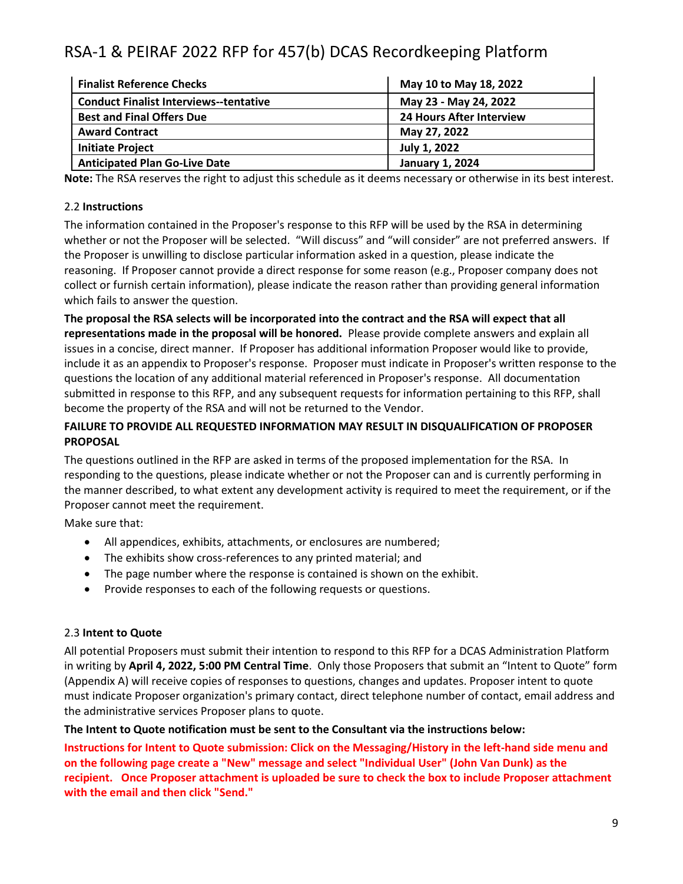| <b>Finalist Reference Checks</b>              | May 10 to May 18, 2022          |
|-----------------------------------------------|---------------------------------|
| <b>Conduct Finalist Interviews--tentative</b> | May 23 - May 24, 2022           |
| <b>Best and Final Offers Due</b>              | <b>24 Hours After Interview</b> |
| <b>Award Contract</b>                         | May 27, 2022                    |
| <b>Initiate Project</b>                       | July 1, 2022                    |
| <b>Anticipated Plan Go-Live Date</b>          | <b>January 1, 2024</b>          |

**Note:** The RSA reserves the right to adjust this schedule as it deems necessary or otherwise in its best interest.

### 2.2 **Instructions**

The information contained in the Proposer's response to this RFP will be used by the RSA in determining whether or not the Proposer will be selected. "Will discuss" and "will consider" are not preferred answers. If the Proposer is unwilling to disclose particular information asked in a question, please indicate the reasoning. If Proposer cannot provide a direct response for some reason (e.g., Proposer company does not collect or furnish certain information), please indicate the reason rather than providing general information which fails to answer the question.

**The proposal the RSA selects will be incorporated into the contract and the RSA will expect that all representations made in the proposal will be honored.** Please provide complete answers and explain all issues in a concise, direct manner. If Proposer has additional information Proposer would like to provide, include it as an appendix to Proposer's response. Proposer must indicate in Proposer's written response to the questions the location of any additional material referenced in Proposer's response. All documentation submitted in response to this RFP, and any subsequent requests for information pertaining to this RFP, shall become the property of the RSA and will not be returned to the Vendor.

### **FAILURE TO PROVIDE ALL REQUESTED INFORMATION MAY RESULT IN DISQUALIFICATION OF PROPOSER PROPOSAL**

The questions outlined in the RFP are asked in terms of the proposed implementation for the RSA. In responding to the questions, please indicate whether or not the Proposer can and is currently performing in the manner described, to what extent any development activity is required to meet the requirement, or if the Proposer cannot meet the requirement.

Make sure that:

- All appendices, exhibits, attachments, or enclosures are numbered;
- The exhibits show cross-references to any printed material; and
- The page number where the response is contained is shown on the exhibit.
- Provide responses to each of the following requests or questions.

### 2.3 **Intent to Quote**

All potential Proposers must submit their intention to respond to this RFP for a DCAS Administration Platform in writing by **April 4, 2022, 5:00 PM Central Time**. Only those Proposers that submit an "Intent to Quote" form (Appendix A) will receive copies of responses to questions, changes and updates. Proposer intent to quote must indicate Proposer organization's primary contact, direct telephone number of contact, email address and the administrative services Proposer plans to quote.

### **The Intent to Quote notification must be sent to the Consultant via the instructions below:**

**Instructions for Intent to Quote submission: Click on the Messaging/History in the left-hand side menu and on the following page create a "New" message and select "Individual User" (John Van Dunk) as the recipient. Once Proposer attachment is uploaded be sure to check the box to include Proposer attachment with the email and then click "Send."**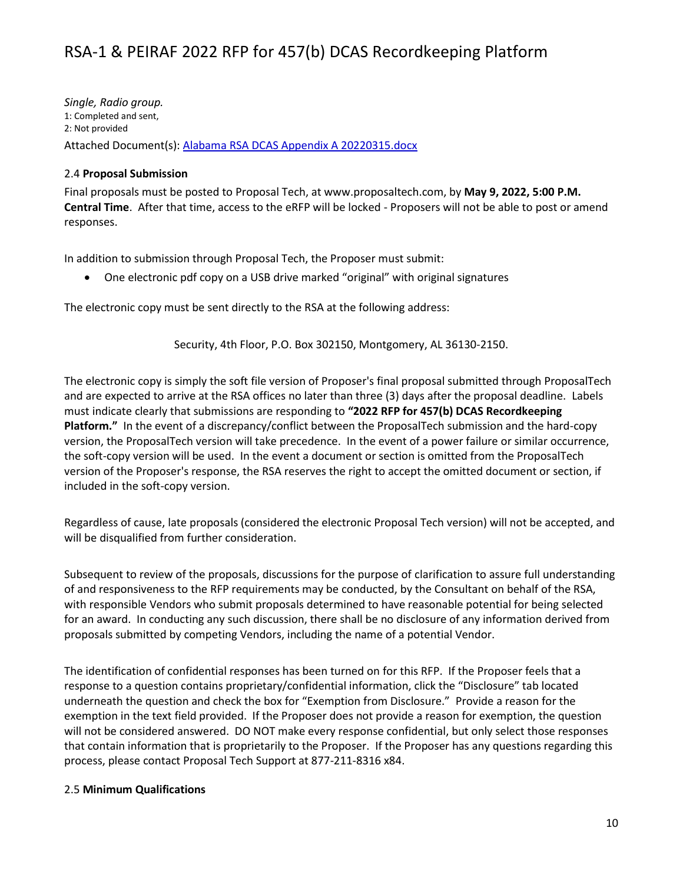*Single, Radio group.* 1: Completed and sent, 2: Not provided Attached Document(s): [Alabama RSA DCAS Appendix A 20220315.docx](file:///C:/Users/hhein/Downloads/api/doc.php/94955714%3fdoc_id=94955714&howname=0&viachild=1&sessid=v5adminsegal36282_4072_02&popup=1)

### 2.4 **Proposal Submission**

Final proposals must be posted to Proposal Tech, at www.proposaltech.com, by **May 9, 2022, 5:00 P.M. Central Time**. After that time, access to the eRFP will be locked - Proposers will not be able to post or amend responses.

In addition to submission through Proposal Tech, the Proposer must submit:

• One electronic pdf copy on a USB drive marked "original" with original signatures

The electronic copy must be sent directly to the RSA at the following address:

Security, 4th Floor, P.O. Box 302150, Montgomery, AL 36130-2150.

The electronic copy is simply the soft file version of Proposer's final proposal submitted through ProposalTech and are expected to arrive at the RSA offices no later than three (3) days after the proposal deadline. Labels must indicate clearly that submissions are responding to **"2022 RFP for 457(b) DCAS Recordkeeping Platform."** In the event of a discrepancy/conflict between the ProposalTech submission and the hard-copy version, the ProposalTech version will take precedence. In the event of a power failure or similar occurrence, the soft-copy version will be used. In the event a document or section is omitted from the ProposalTech version of the Proposer's response, the RSA reserves the right to accept the omitted document or section, if included in the soft-copy version.

Regardless of cause, late proposals (considered the electronic Proposal Tech version) will not be accepted, and will be disqualified from further consideration.

Subsequent to review of the proposals, discussions for the purpose of clarification to assure full understanding of and responsiveness to the RFP requirements may be conducted, by the Consultant on behalf of the RSA, with responsible Vendors who submit proposals determined to have reasonable potential for being selected for an award. In conducting any such discussion, there shall be no disclosure of any information derived from proposals submitted by competing Vendors, including the name of a potential Vendor.

The identification of confidential responses has been turned on for this RFP. If the Proposer feels that a response to a question contains proprietary/confidential information, click the "Disclosure" tab located underneath the question and check the box for "Exemption from Disclosure." Provide a reason for the exemption in the text field provided. If the Proposer does not provide a reason for exemption, the question will not be considered answered. DO NOT make every response confidential, but only select those responses that contain information that is proprietarily to the Proposer. If the Proposer has any questions regarding this process, please contact Proposal Tech Support at 877-211-8316 x84.

### 2.5 **Minimum Qualifications**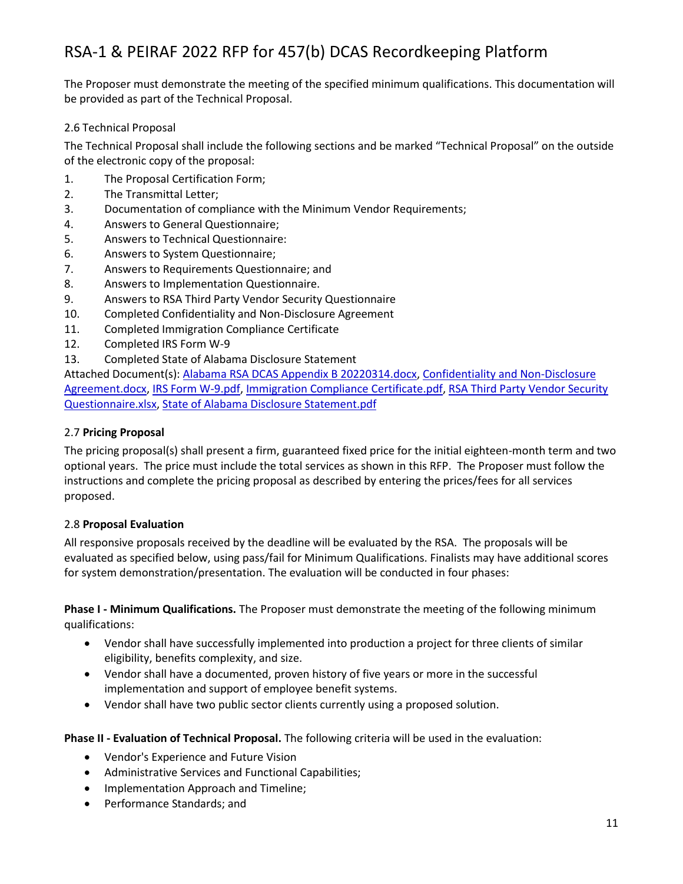The Proposer must demonstrate the meeting of the specified minimum qualifications. This documentation will be provided as part of the Technical Proposal.

### 2.6 Technical Proposal

The Technical Proposal shall include the following sections and be marked "Technical Proposal" on the outside of the electronic copy of the proposal:

- 1. The Proposal Certification Form;
- 2. The Transmittal Letter;
- 3. Documentation of compliance with the Minimum Vendor Requirements;
- 4. Answers to General Questionnaire;
- 5. Answers to Technical Questionnaire:
- 6. Answers to System Questionnaire;
- 7. Answers to Requirements Questionnaire; and
- 8. Answers to Implementation Questionnaire.
- 9. Answers to RSA Third Party Vendor Security Questionnaire
- 10. Completed Confidentiality and Non-Disclosure Agreement
- 11. Completed Immigration Compliance Certificate
- 12. Completed IRS Form W-9
- 13. Completed State of Alabama Disclosure Statement

Attached Document(s): [Alabama RSA DCAS Appendix B 20220314.docx,](file:///C:/Users/hhein/Downloads/api/doc.php/94955715%3fdoc_id=94955715&howname=0&viachild=1&sessid=v5adminsegal36282_4072_02&popup=1) [Confidentiality and Non-Disclosure](file:///C:/Users/hhein/Downloads/api/doc.php/94035592%3fdoc_id=94035592&howname=0&viachild=1&sessid=v5adminsegal36282_4072_02&popup=1)  [Agreement.docx,](file:///C:/Users/hhein/Downloads/api/doc.php/94035592%3fdoc_id=94035592&howname=0&viachild=1&sessid=v5adminsegal36282_4072_02&popup=1) [IRS Form W-9.pdf,](file:///C:/Users/hhein/Downloads/api/doc.php/94035594%3fdoc_id=94035594&howname=0&viachild=1&sessid=v5adminsegal36282_4072_02&popup=1) [Immigration Compliance Certificate.pdf,](file:///C:/Users/hhein/Downloads/api/doc.php/94035593%3fdoc_id=94035593&howname=0&viachild=1&sessid=v5adminsegal36282_4072_02&popup=1) [RSA Third Party Vendor Security](file:///C:/Users/hhein/Downloads/api/doc.php/94868434%3fdoc_id=94868434&howname=0&viachild=1&sessid=v5adminsegal36282_4072_02&popup=1)  [Questionnaire.xlsx,](file:///C:/Users/hhein/Downloads/api/doc.php/94868434%3fdoc_id=94868434&howname=0&viachild=1&sessid=v5adminsegal36282_4072_02&popup=1) [State of Alabama Disclosure Statement.pdf](file:///C:/Users/hhein/Downloads/api/doc.php/94035668%3fdoc_id=94035668&howname=0&viachild=1&sessid=v5adminsegal36282_4072_02&popup=1)

### 2.7 **Pricing Proposal**

The pricing proposal(s) shall present a firm, guaranteed fixed price for the initial eighteen-month term and two optional years. The price must include the total services as shown in this RFP. The Proposer must follow the instructions and complete the pricing proposal as described by entering the prices/fees for all services proposed.

### 2.8 **Proposal Evaluation**

All responsive proposals received by the deadline will be evaluated by the RSA. The proposals will be evaluated as specified below, using pass/fail for Minimum Qualifications. Finalists may have additional scores for system demonstration/presentation. The evaluation will be conducted in four phases:

**Phase I - Minimum Qualifications.** The Proposer must demonstrate the meeting of the following minimum qualifications:

- Vendor shall have successfully implemented into production a project for three clients of similar eligibility, benefits complexity, and size.
- Vendor shall have a documented, proven history of five years or more in the successful implementation and support of employee benefit systems.
- Vendor shall have two public sector clients currently using a proposed solution.

### **Phase II - Evaluation of Technical Proposal.** The following criteria will be used in the evaluation:

- Vendor's Experience and Future Vision
- Administrative Services and Functional Capabilities;
- Implementation Approach and Timeline;
- Performance Standards; and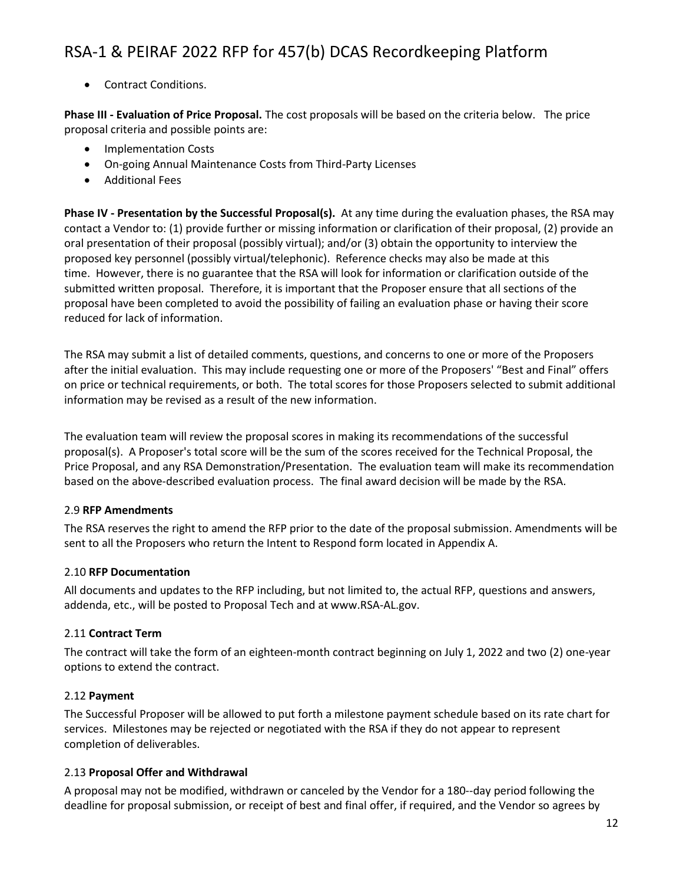• Contract Conditions.

**Phase III - Evaluation of Price Proposal.** The cost proposals will be based on the criteria below. The price proposal criteria and possible points are:

- Implementation Costs
- On-going Annual Maintenance Costs from Third-Party Licenses
- Additional Fees

**Phase IV - Presentation by the Successful Proposal(s).** At any time during the evaluation phases, the RSA may contact a Vendor to: (1) provide further or missing information or clarification of their proposal, (2) provide an oral presentation of their proposal (possibly virtual); and/or (3) obtain the opportunity to interview the proposed key personnel (possibly virtual/telephonic). Reference checks may also be made at this time. However, there is no guarantee that the RSA will look for information or clarification outside of the submitted written proposal. Therefore, it is important that the Proposer ensure that all sections of the proposal have been completed to avoid the possibility of failing an evaluation phase or having their score reduced for lack of information.

The RSA may submit a list of detailed comments, questions, and concerns to one or more of the Proposers after the initial evaluation. This may include requesting one or more of the Proposers' "Best and Final" offers on price or technical requirements, or both. The total scores for those Proposers selected to submit additional information may be revised as a result of the new information.

The evaluation team will review the proposal scores in making its recommendations of the successful proposal(s). A Proposer's total score will be the sum of the scores received for the Technical Proposal, the Price Proposal, and any RSA Demonstration/Presentation. The evaluation team will make its recommendation based on the above-described evaluation process. The final award decision will be made by the RSA.

### 2.9 **RFP Amendments**

The RSA reserves the right to amend the RFP prior to the date of the proposal submission. Amendments will be sent to all the Proposers who return the Intent to Respond form located in Appendix A.

### 2.10 **RFP Documentation**

All documents and updates to the RFP including, but not limited to, the actual RFP, questions and answers, addenda, etc., will be posted to Proposal Tech and at www.RSA-AL.gov.

### 2.11 **Contract Term**

The contract will take the form of an eighteen-month contract beginning on July 1, 2022 and two (2) one-year options to extend the contract.

### 2.12 **Payment**

The Successful Proposer will be allowed to put forth a milestone payment schedule based on its rate chart for services. Milestones may be rejected or negotiated with the RSA if they do not appear to represent completion of deliverables.

### 2.13 **Proposal Offer and Withdrawal**

A proposal may not be modified, withdrawn or canceled by the Vendor for a 180--day period following the deadline for proposal submission, or receipt of best and final offer, if required, and the Vendor so agrees by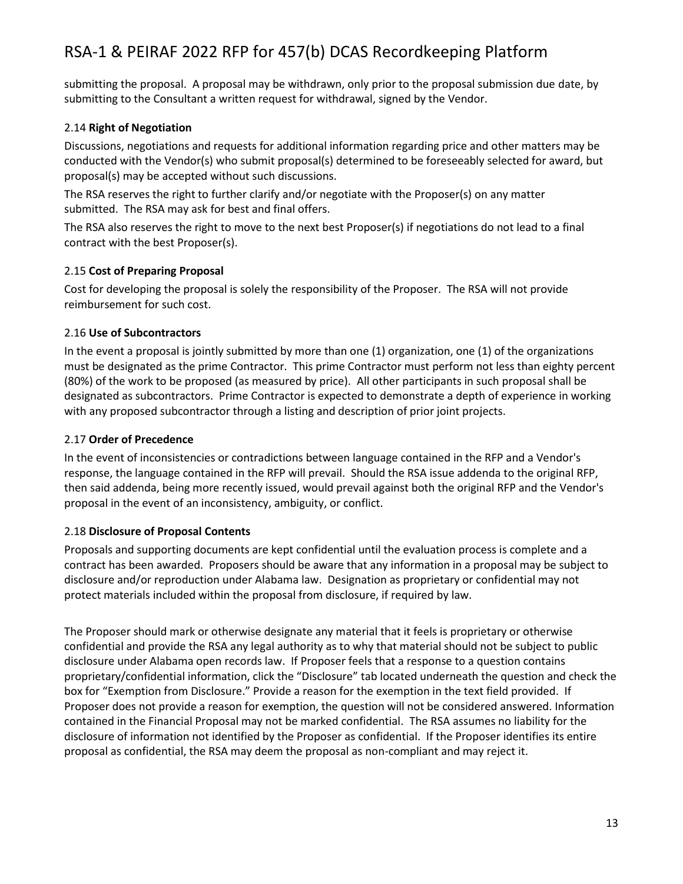submitting the proposal. A proposal may be withdrawn, only prior to the proposal submission due date, by submitting to the Consultant a written request for withdrawal, signed by the Vendor.

### 2.14 **Right of Negotiation**

Discussions, negotiations and requests for additional information regarding price and other matters may be conducted with the Vendor(s) who submit proposal(s) determined to be foreseeably selected for award, but proposal(s) may be accepted without such discussions.

The RSA reserves the right to further clarify and/or negotiate with the Proposer(s) on any matter submitted. The RSA may ask for best and final offers.

The RSA also reserves the right to move to the next best Proposer(s) if negotiations do not lead to a final contract with the best Proposer(s).

### 2.15 **Cost of Preparing Proposal**

Cost for developing the proposal is solely the responsibility of the Proposer. The RSA will not provide reimbursement for such cost.

### 2.16 **Use of Subcontractors**

In the event a proposal is jointly submitted by more than one (1) organization, one (1) of the organizations must be designated as the prime Contractor. This prime Contractor must perform not less than eighty percent (80%) of the work to be proposed (as measured by price). All other participants in such proposal shall be designated as subcontractors. Prime Contractor is expected to demonstrate a depth of experience in working with any proposed subcontractor through a listing and description of prior joint projects.

### 2.17 **Order of Precedence**

In the event of inconsistencies or contradictions between language contained in the RFP and a Vendor's response, the language contained in the RFP will prevail. Should the RSA issue addenda to the original RFP, then said addenda, being more recently issued, would prevail against both the original RFP and the Vendor's proposal in the event of an inconsistency, ambiguity, or conflict.

### 2.18 **Disclosure of Proposal Contents**

Proposals and supporting documents are kept confidential until the evaluation process is complete and a contract has been awarded. Proposers should be aware that any information in a proposal may be subject to disclosure and/or reproduction under Alabama law. Designation as proprietary or confidential may not protect materials included within the proposal from disclosure, if required by law.

The Proposer should mark or otherwise designate any material that it feels is proprietary or otherwise confidential and provide the RSA any legal authority as to why that material should not be subject to public disclosure under Alabama open records law. If Proposer feels that a response to a question contains proprietary/confidential information, click the "Disclosure" tab located underneath the question and check the box for "Exemption from Disclosure." Provide a reason for the exemption in the text field provided. If Proposer does not provide a reason for exemption, the question will not be considered answered. Information contained in the Financial Proposal may not be marked confidential. The RSA assumes no liability for the disclosure of information not identified by the Proposer as confidential. If the Proposer identifies its entire proposal as confidential, the RSA may deem the proposal as non-compliant and may reject it.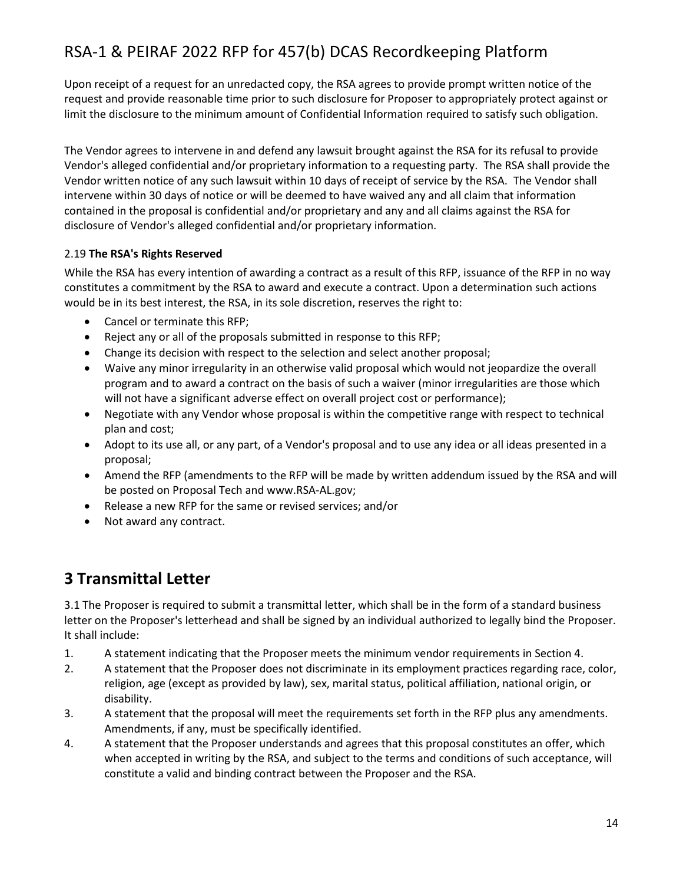Upon receipt of a request for an unredacted copy, the RSA agrees to provide prompt written notice of the request and provide reasonable time prior to such disclosure for Proposer to appropriately protect against or limit the disclosure to the minimum amount of Confidential Information required to satisfy such obligation.

The Vendor agrees to intervene in and defend any lawsuit brought against the RSA for its refusal to provide Vendor's alleged confidential and/or proprietary information to a requesting party. The RSA shall provide the Vendor written notice of any such lawsuit within 10 days of receipt of service by the RSA. The Vendor shall intervene within 30 days of notice or will be deemed to have waived any and all claim that information contained in the proposal is confidential and/or proprietary and any and all claims against the RSA for disclosure of Vendor's alleged confidential and/or proprietary information.

### 2.19 **The RSA's Rights Reserved**

While the RSA has every intention of awarding a contract as a result of this RFP, issuance of the RFP in no way constitutes a commitment by the RSA to award and execute a contract. Upon a determination such actions would be in its best interest, the RSA, in its sole discretion, reserves the right to:

- Cancel or terminate this RFP;
- Reject any or all of the proposals submitted in response to this RFP;
- Change its decision with respect to the selection and select another proposal;
- Waive any minor irregularity in an otherwise valid proposal which would not jeopardize the overall program and to award a contract on the basis of such a waiver (minor irregularities are those which will not have a significant adverse effect on overall project cost or performance);
- Negotiate with any Vendor whose proposal is within the competitive range with respect to technical plan and cost;
- Adopt to its use all, or any part, of a Vendor's proposal and to use any idea or all ideas presented in a proposal;
- Amend the RFP (amendments to the RFP will be made by written addendum issued by the RSA and will be posted on Proposal Tech and www.RSA-AL.gov;
- Release a new RFP for the same or revised services; and/or
- Not award any contract.

## **3 Transmittal Letter**

3.1 The Proposer is required to submit a transmittal letter, which shall be in the form of a standard business letter on the Proposer's letterhead and shall be signed by an individual authorized to legally bind the Proposer. It shall include:

- 1. A statement indicating that the Proposer meets the minimum vendor requirements in Section 4.
- 2. A statement that the Proposer does not discriminate in its employment practices regarding race, color, religion, age (except as provided by law), sex, marital status, political affiliation, national origin, or disability.
- 3. A statement that the proposal will meet the requirements set forth in the RFP plus any amendments. Amendments, if any, must be specifically identified.
- 4. A statement that the Proposer understands and agrees that this proposal constitutes an offer, which when accepted in writing by the RSA, and subject to the terms and conditions of such acceptance, will constitute a valid and binding contract between the Proposer and the RSA.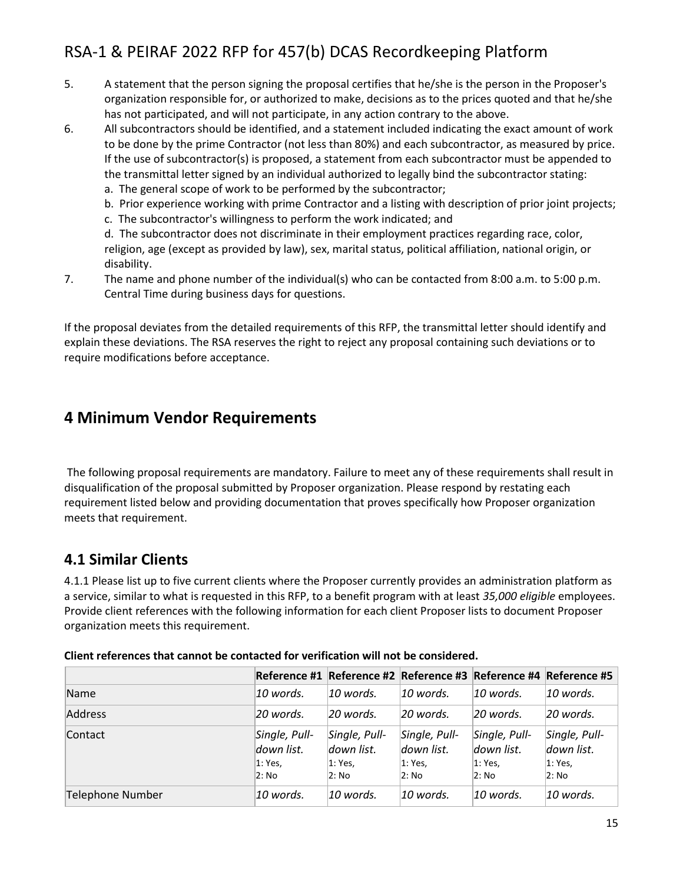- 5. A statement that the person signing the proposal certifies that he/she is the person in the Proposer's organization responsible for, or authorized to make, decisions as to the prices quoted and that he/she has not participated, and will not participate, in any action contrary to the above.
- 6. All subcontractors should be identified, and a statement included indicating the exact amount of work to be done by the prime Contractor (not less than 80%) and each subcontractor, as measured by price. If the use of subcontractor(s) is proposed, a statement from each subcontractor must be appended to the transmittal letter signed by an individual authorized to legally bind the subcontractor stating:
	- a. The general scope of work to be performed by the subcontractor;
	- b. Prior experience working with prime Contractor and a listing with description of prior joint projects;
	- c. The subcontractor's willingness to perform the work indicated; and

d. The subcontractor does not discriminate in their employment practices regarding race, color, religion, age (except as provided by law), sex, marital status, political affiliation, national origin, or disability.

7. The name and phone number of the individual(s) who can be contacted from 8:00 a.m. to 5:00 p.m. Central Time during business days for questions.

If the proposal deviates from the detailed requirements of this RFP, the transmittal letter should identify and explain these deviations. The RSA reserves the right to reject any proposal containing such deviations or to require modifications before acceptance.

### **4 Minimum Vendor Requirements**

The following proposal requirements are mandatory. Failure to meet any of these requirements shall result in disqualification of the proposal submitted by Proposer organization. Please respond by restating each requirement listed below and providing documentation that proves specifically how Proposer organization meets that requirement.

### **4.1 Similar Clients**

4.1.1 Please list up to five current clients where the Proposer currently provides an administration platform as a service, similar to what is requested in this RFP, to a benefit program with at least *35,000 eligible* employees. Provide client references with the following information for each client Proposer lists to document Proposer organization meets this requirement.

|                  |                                                    |                                                 |                                                 |                                                    | Reference #1 Reference #2 Reference #3 Reference #4 Reference #5 |
|------------------|----------------------------------------------------|-------------------------------------------------|-------------------------------------------------|----------------------------------------------------|------------------------------------------------------------------|
| Name             | 10 words.                                          | 10 words.                                       | 10 words.                                       | 10 words.                                          | $10$ words.                                                      |
| Address          | 20 words.                                          | 20 words.                                       | $20$ words.                                     | 20 words.                                          | 20 words.                                                        |
| Contact          | Single, Pull-<br>down list.<br>$ 1:$ Yes,<br>2: No | Single, Pull-<br>down list.<br>1: Yes,<br>2: No | Single, Pull-<br>down list.<br>1: Yes,<br>2: No | Single, Pull-<br>down list.<br>$ 1:$ Yes,<br>2: No | Single, Pull-<br>down list.<br>1: Yes.<br>2: No                  |
| Telephone Number | $10$ words.                                        | 10 words.                                       | 10 words.                                       | 10 words.                                          | $10$ words.                                                      |

**Client references that cannot be contacted for verification will not be considered.**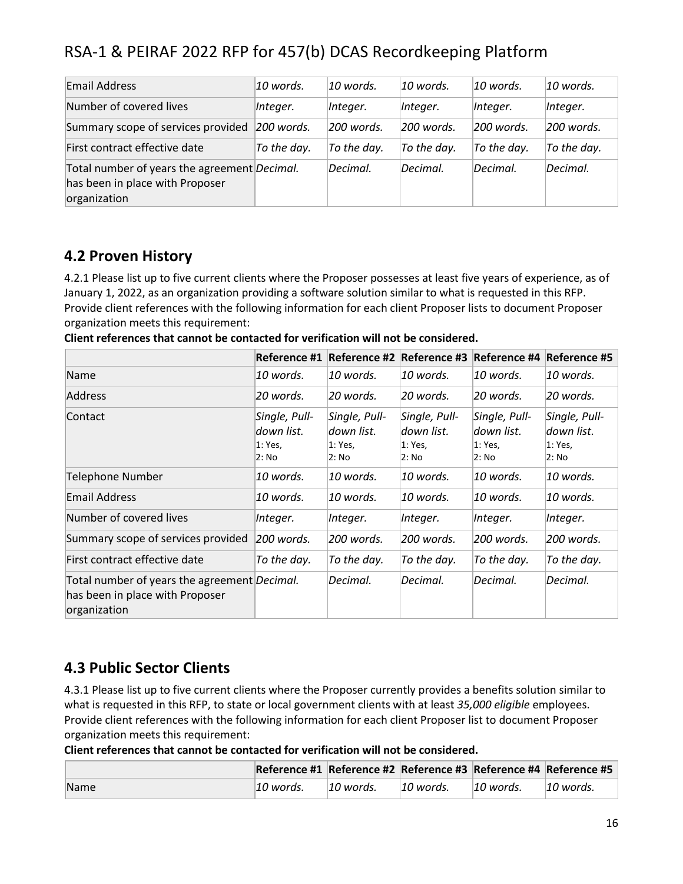| <b>Email Address</b>                                                                            | 10 words.    | 10 words.    | 10 words.   | $10$ words. | 10 words.    |
|-------------------------------------------------------------------------------------------------|--------------|--------------|-------------|-------------|--------------|
| Number of covered lives                                                                         | Integer.     | Integer.     | Integer.    | Integer.    | Integer.     |
| Summary scope of services provided                                                              | $200$ words. | $200$ words. | 200 words.  | 200 words.  | $200$ words. |
| First contract effective date                                                                   | To the day.  | To the day.  | To the day. | To the day. | To the day.  |
| Total number of years the agreement Decimal.<br>has been in place with Proposer<br>organization |              | Decimal.     | Decimal.    | Decimal.    | Decimal.     |

### **4.2 Proven History**

4.2.1 Please list up to five current clients where the Proposer possesses at least five years of experience, as of January 1, 2022, as an organization providing a software solution similar to what is requested in this RFP. Provide client references with the following information for each client Proposer lists to document Proposer organization meets this requirement:

**Client references that cannot be contacted for verification will not be considered.**

|                                                                                                         | Reference #1                                     |                                                 | Reference #2 Reference #3 Reference #4 Reference #5 |                                                 |                                                     |
|---------------------------------------------------------------------------------------------------------|--------------------------------------------------|-------------------------------------------------|-----------------------------------------------------|-------------------------------------------------|-----------------------------------------------------|
| Name                                                                                                    | 10 words.                                        | 10 words.                                       | 10 words.                                           | 10 words.                                       | 10 words.                                           |
| Address                                                                                                 | 20 words.                                        | 20 words.                                       | 20 words.                                           | 20 words.                                       | 20 words.                                           |
| Contact                                                                                                 | Single, Pull-<br>ldown list.<br>1: Yes,<br>2: No | Single, Pull-<br>down list.<br>1: Yes,<br>2: No | Single, Pull-<br>down list.<br>1: Yes,<br>2: No     | Single, Pull-<br>down list.<br>1: Yes.<br>2: No | Single, Pull-<br>ldown list.<br>$ 1:$ Yes,<br>2: No |
| <b>Telephone Number</b>                                                                                 | 10 words.                                        | 10 words.                                       | 10 words.                                           | 10 words.                                       | 10 words.                                           |
| <b>Email Address</b>                                                                                    | 10 words.                                        | 10 words.                                       | 10 words.                                           | 10 words.                                       | 10 words.                                           |
| Number of covered lives                                                                                 | Integer.                                         | Integer.                                        | Integer.                                            | Integer.                                        | Integer.                                            |
| Summary scope of services provided                                                                      | $200$ words.                                     | 200 words.                                      | 200 words.                                          | 200 words.                                      | $200$ words.                                        |
| First contract effective date                                                                           | To the day.                                      | To the day.                                     | To the day.                                         | To the day.                                     | To the day.                                         |
| Total number of years the agreement <i>Decimal</i> .<br>has been in place with Proposer<br>organization |                                                  | Decimal.                                        | Decimal.                                            | Decimal.                                        | Decimal.                                            |

### **4.3 Public Sector Clients**

4.3.1 Please list up to five current clients where the Proposer currently provides a benefits solution similar to what is requested in this RFP, to state or local government clients with at least *35,000 eligible* employees. Provide client references with the following information for each client Proposer list to document Proposer organization meets this requirement:

**Client references that cannot be contacted for verification will not be considered.**

|      |            | Reference #1 Reference #2 Reference #3 Reference #4 Reference #5 |             |             |             |
|------|------------|------------------------------------------------------------------|-------------|-------------|-------------|
| Name | ∣10 words. | $10$ words.                                                      | $10$ words. | $10$ words. | $10$ words. |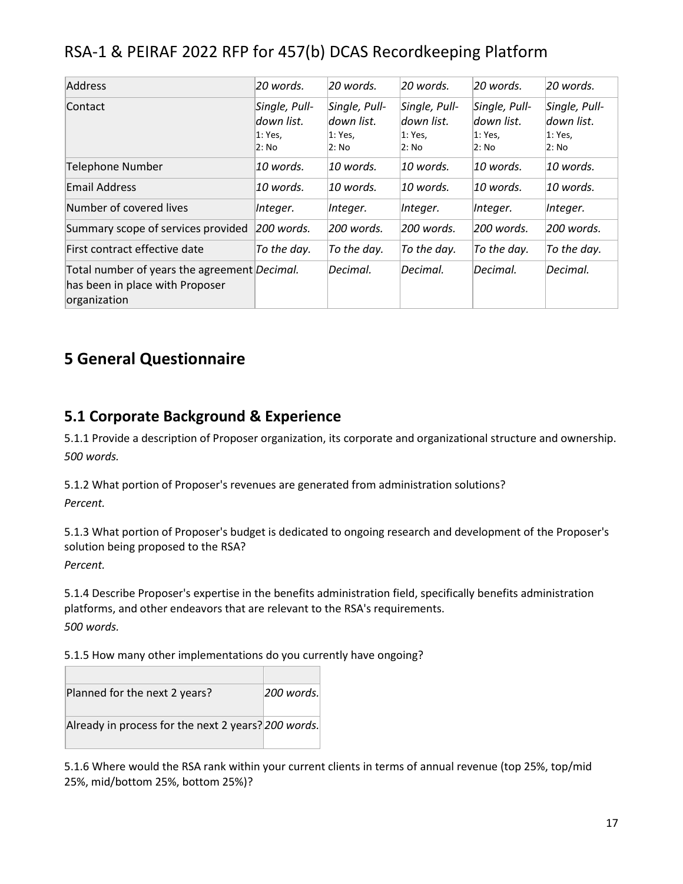| <b>Address</b>                                                                                          | 20 words.                                       | 20 words.                                       | $20$ words.                                     | 20 words.                                       | 20 words.                                       |
|---------------------------------------------------------------------------------------------------------|-------------------------------------------------|-------------------------------------------------|-------------------------------------------------|-------------------------------------------------|-------------------------------------------------|
| Contact                                                                                                 | Single, Pull-<br>down list.<br>1: Yes,<br>2: No | Single, Pull-<br>down list.<br>1: Yes,<br>2: No | Single, Pull-<br>down list.<br>1: Yes,<br>2: No | Single, Pull-<br>down list.<br>1: Yes.<br>2: No | Single, Pull-<br>down list.<br>1: Yes,<br>2: No |
| <b>Telephone Number</b>                                                                                 | $10$ words.                                     | 10 words.                                       | 10 words.                                       | 10 words.                                       | 10 words.                                       |
| <b>Email Address</b>                                                                                    | $10$ words.                                     | 10 words.                                       | 10 words.                                       | 10 words.                                       | 10 words.                                       |
| Number of covered lives                                                                                 | Integer.                                        | Integer.                                        | Integer.                                        | Integer.                                        | Integer.                                        |
| Summary scope of services provided                                                                      | $200$ words.                                    | 200 words.                                      | 200 words.                                      | 200 words.                                      | $200$ words.                                    |
| First contract effective date                                                                           | To the day.                                     | To the day.                                     | To the day.                                     | To the day.                                     | To the day.                                     |
| Total number of years the agreement <i>Decimal</i> .<br>has been in place with Proposer<br>organization |                                                 | Decimal.                                        | Decimal.                                        | Decimal.                                        | Decimal.                                        |

## **5 General Questionnaire**

### **5.1 Corporate Background & Experience**

5.1.1 Provide a description of Proposer organization, its corporate and organizational structure and ownership. *500 words.*

5.1.2 What portion of Proposer's revenues are generated from administration solutions? *Percent.*

5.1.3 What portion of Proposer's budget is dedicated to ongoing research and development of the Proposer's solution being proposed to the RSA?

*Percent.*

5.1.4 Describe Proposer's expertise in the benefits administration field, specifically benefits administration platforms, and other endeavors that are relevant to the RSA's requirements. *500 words.*

5.1.5 How many other implementations do you currently have ongoing?

| Planned for the next 2 years?                       | 200 words. |
|-----------------------------------------------------|------------|
| Already in process for the next 2 years? 200 words. |            |
|                                                     |            |

5.1.6 Where would the RSA rank within your current clients in terms of annual revenue (top 25%, top/mid 25%, mid/bottom 25%, bottom 25%)?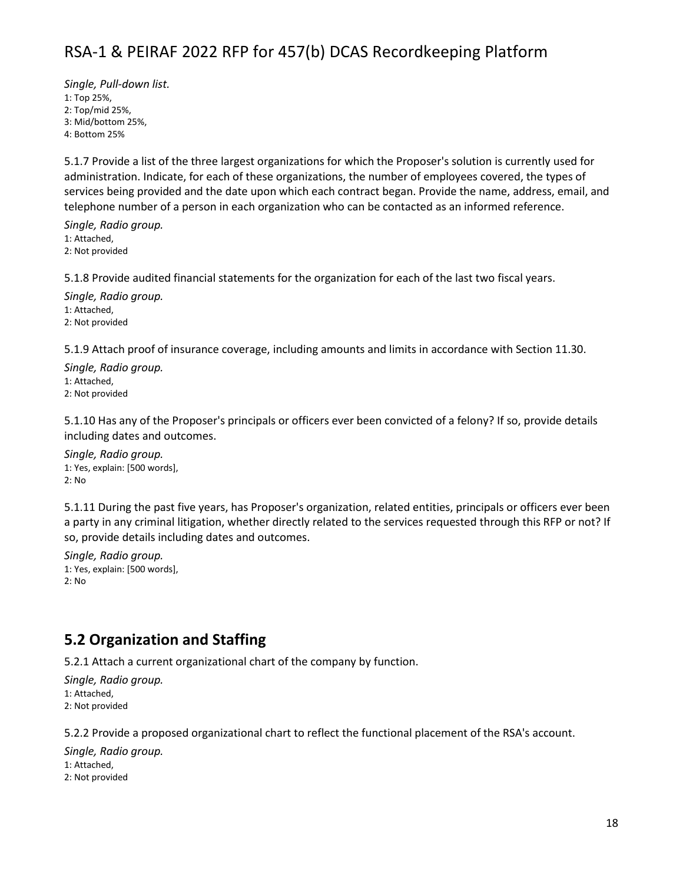*Single, Pull-down list.* 1: Top 25%, 2: Top/mid 25%, 3: Mid/bottom 25%, 4: Bottom 25%

5.1.7 Provide a list of the three largest organizations for which the Proposer's solution is currently used for administration. Indicate, for each of these organizations, the number of employees covered, the types of services being provided and the date upon which each contract began. Provide the name, address, email, and telephone number of a person in each organization who can be contacted as an informed reference.

*Single, Radio group.* 1: Attached, 2: Not provided

5.1.8 Provide audited financial statements for the organization for each of the last two fiscal years.

*Single, Radio group.* 1: Attached, 2: Not provided

5.1.9 Attach proof of insurance coverage, including amounts and limits in accordance with Section 11.30.

*Single, Radio group.* 1: Attached, 2: Not provided

5.1.10 Has any of the Proposer's principals or officers ever been convicted of a felony? If so, provide details including dates and outcomes.

*Single, Radio group.* 1: Yes, explain: [500 words], 2: No

5.1.11 During the past five years, has Proposer's organization, related entities, principals or officers ever been a party in any criminal litigation, whether directly related to the services requested through this RFP or not? If so, provide details including dates and outcomes.

*Single, Radio group.* 1: Yes, explain: [500 words], 2: No

### **5.2 Organization and Staffing**

5.2.1 Attach a current organizational chart of the company by function.

*Single, Radio group.* 1: Attached, 2: Not provided

5.2.2 Provide a proposed organizational chart to reflect the functional placement of the RSA's account.

*Single, Radio group.* 1: Attached, 2: Not provided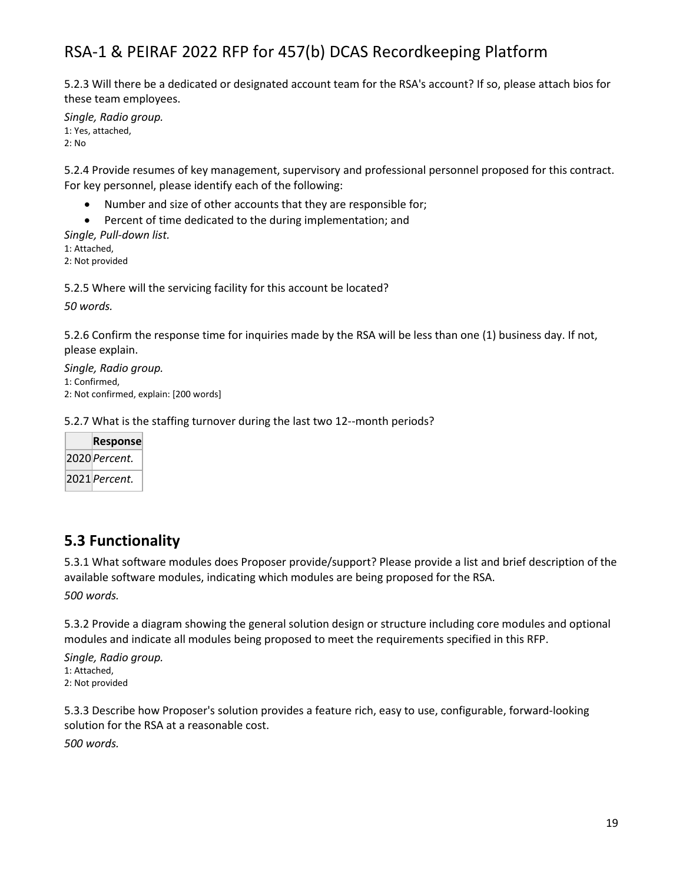5.2.3 Will there be a dedicated or designated account team for the RSA's account? If so, please attach bios for these team employees.

*Single, Radio group.* 1: Yes, attached, 2: No

5.2.4 Provide resumes of key management, supervisory and professional personnel proposed for this contract. For key personnel, please identify each of the following:

- Number and size of other accounts that they are responsible for;
- Percent of time dedicated to the during implementation; and

*Single, Pull-down list.*

1: Attached,

2: Not provided

5.2.5 Where will the servicing facility for this account be located?

*50 words.*

5.2.6 Confirm the response time for inquiries made by the RSA will be less than one (1) business day. If not, please explain.

*Single, Radio group.* 1: Confirmed, 2: Not confirmed, explain: [200 words]

5.2.7 What is the staffing turnover during the last two 12--month periods?

|  | <b>Response</b> |  |  |  |
|--|-----------------|--|--|--|
|  | 2020 Percent.   |  |  |  |
|  | 2021 Percent.   |  |  |  |

### **5.3 Functionality**

5.3.1 What software modules does Proposer provide/support? Please provide a list and brief description of the available software modules, indicating which modules are being proposed for the RSA.

*500 words.*

5.3.2 Provide a diagram showing the general solution design or structure including core modules and optional modules and indicate all modules being proposed to meet the requirements specified in this RFP.

*Single, Radio group.* 1: Attached, 2: Not provided

5.3.3 Describe how Proposer's solution provides a feature rich, easy to use, configurable, forward-looking solution for the RSA at a reasonable cost.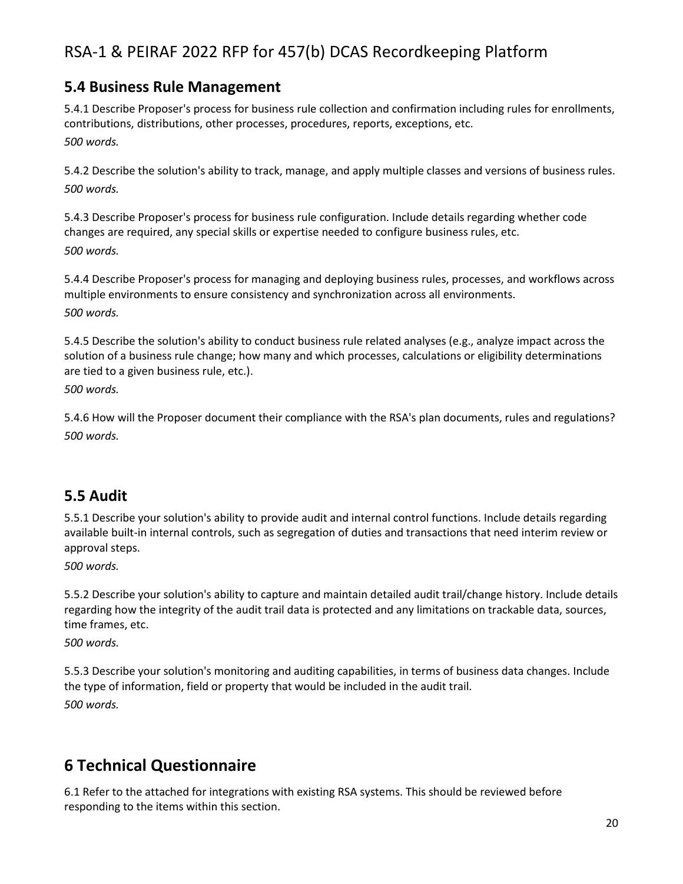### **5.4 Business Rule Management**

5.4.1 Describe Proposer's process for business rule collection and confirmation including rules for enrollments, contributions, distributions, other processes, procedures, reports, exceptions, etc. *500 words.*

5.4.2 Describe the solution's ability to track, manage, and apply multiple classes and versions of business rules. *500 words.*

5.4.3 Describe Proposer's process for business rule configuration. Include details regarding whether code changes are required, any special skills or expertise needed to configure business rules, etc. *500 words.*

5.4.4 Describe Proposer's process for managing and deploying business rules, processes, and workflows across multiple environments to ensure consistency and synchronization across all environments. *500 words.*

5.4.5 Describe the solution's ability to conduct business rule related analyses (e.g., analyze impact across the solution of a business rule change; how many and which processes, calculations or eligibility determinations are tied to a given business rule, etc.).

*500 words.*

5.4.6 How will the Proposer document their compliance with the RSA's plan documents, rules and regulations? *500 words.*

### **5.5 Audit**

5.5.1 Describe your solution's ability to provide audit and internal control functions. Include details regarding available built-in internal controls, such as segregation of duties and transactions that need interim review or approval steps.

*500 words.*

5.5.2 Describe your solution's ability to capture and maintain detailed audit trail/change history. Include details regarding how the integrity of the audit trail data is protected and any limitations on trackable data, sources, time frames, etc.

*500 words.*

5.5.3 Describe your solution's monitoring and auditing capabilities, in terms of business data changes. Include the type of information, field or property that would be included in the audit trail. *500 words.*

## **6 Technical Questionnaire**

6.1 Refer to the attached for integrations with existing RSA systems. This should be reviewed before responding to the items within this section.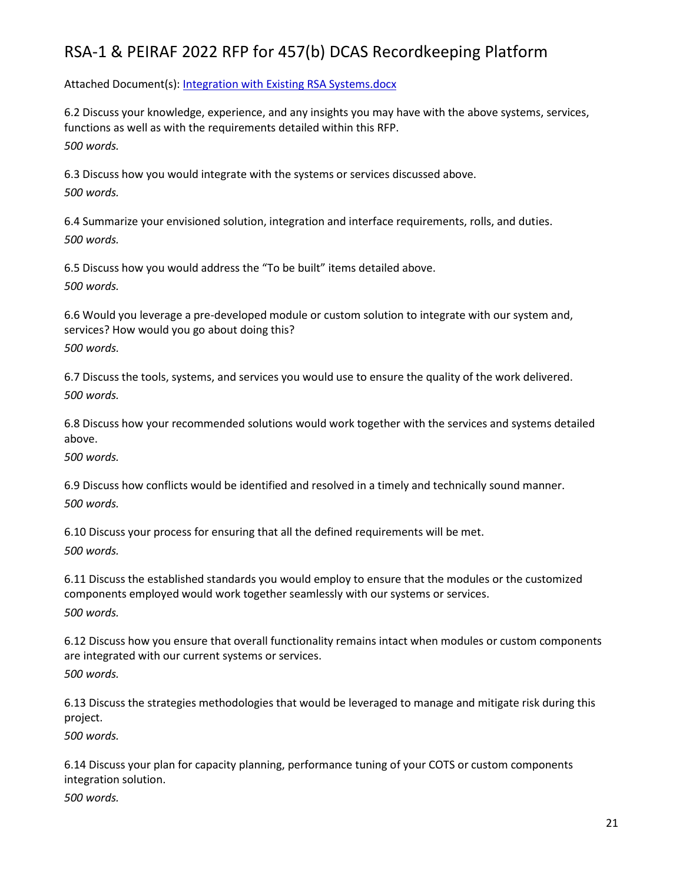Attached Document(s): [Integration with Existing RSA Systems.docx](file:///C:/Users/hhein/Downloads/api/doc.php/94026326%3fdoc_id=94026326&howname=0&viachild=1&sessid=v5adminsegal36282_4072_02&popup=1)

6.2 Discuss your knowledge, experience, and any insights you may have with the above systems, services, functions as well as with the requirements detailed within this RFP. *500 words.*

6.3 Discuss how you would integrate with the systems or services discussed above. *500 words.*

6.4 Summarize your envisioned solution, integration and interface requirements, rolls, and duties. *500 words.*

6.5 Discuss how you would address the "To be built" items detailed above. *500 words.*

6.6 Would you leverage a pre-developed module or custom solution to integrate with our system and, services? How would you go about doing this?

*500 words.*

6.7 Discuss the tools, systems, and services you would use to ensure the quality of the work delivered. *500 words.*

6.8 Discuss how your recommended solutions would work together with the services and systems detailed above.

*500 words.*

6.9 Discuss how conflicts would be identified and resolved in a timely and technically sound manner. *500 words.*

6.10 Discuss your process for ensuring that all the defined requirements will be met. *500 words.*

6.11 Discuss the established standards you would employ to ensure that the modules or the customized components employed would work together seamlessly with our systems or services. *500 words.*

6.12 Discuss how you ensure that overall functionality remains intact when modules or custom components are integrated with our current systems or services. *500 words.*

6.13 Discuss the strategies methodologies that would be leveraged to manage and mitigate risk during this project.

*500 words.*

6.14 Discuss your plan for capacity planning, performance tuning of your COTS or custom components integration solution.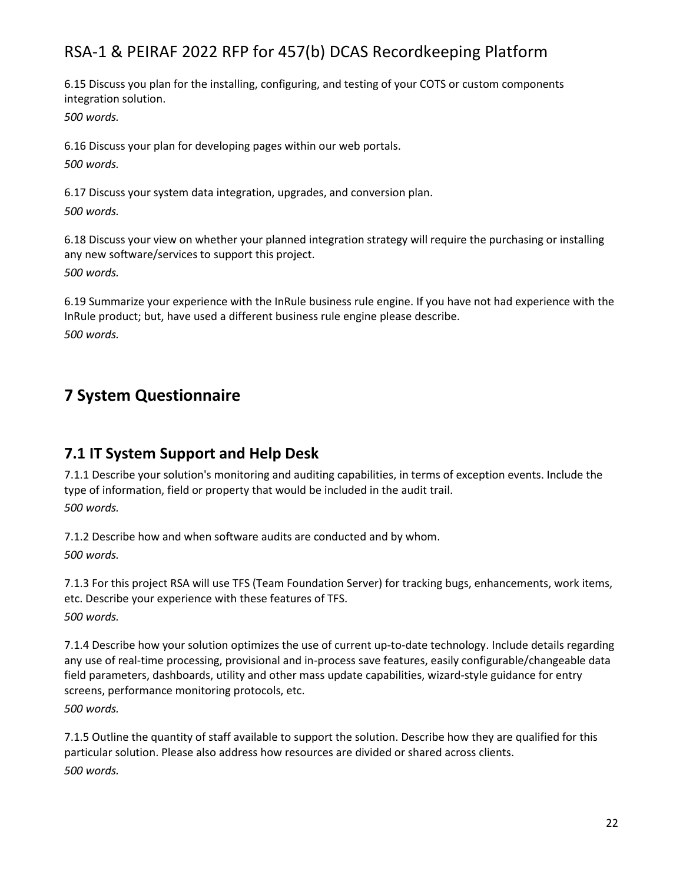6.15 Discuss you plan for the installing, configuring, and testing of your COTS or custom components integration solution.

*500 words.*

6.16 Discuss your plan for developing pages within our web portals. *500 words.*

6.17 Discuss your system data integration, upgrades, and conversion plan. *500 words.*

6.18 Discuss your view on whether your planned integration strategy will require the purchasing or installing any new software/services to support this project. *500 words.*

6.19 Summarize your experience with the InRule business rule engine. If you have not had experience with the InRule product; but, have used a different business rule engine please describe. *500 words.*

## **7 System Questionnaire**

### **7.1 IT System Support and Help Desk**

7.1.1 Describe your solution's monitoring and auditing capabilities, in terms of exception events. Include the type of information, field or property that would be included in the audit trail. *500 words.*

7.1.2 Describe how and when software audits are conducted and by whom. *500 words.*

7.1.3 For this project RSA will use TFS (Team Foundation Server) for tracking bugs, enhancements, work items, etc. Describe your experience with these features of TFS. *500 words.*

7.1.4 Describe how your solution optimizes the use of current up-to-date technology. Include details regarding any use of real-time processing, provisional and in-process save features, easily configurable/changeable data field parameters, dashboards, utility and other mass update capabilities, wizard-style guidance for entry screens, performance monitoring protocols, etc.

*500 words.*

7.1.5 Outline the quantity of staff available to support the solution. Describe how they are qualified for this particular solution. Please also address how resources are divided or shared across clients. *500 words.*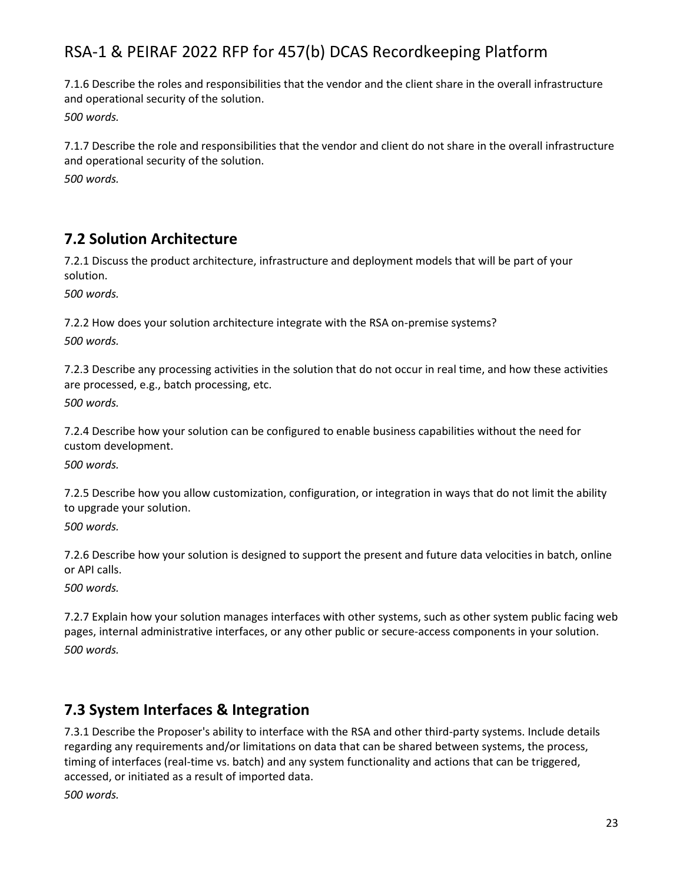7.1.6 Describe the roles and responsibilities that the vendor and the client share in the overall infrastructure and operational security of the solution.

*500 words.*

7.1.7 Describe the role and responsibilities that the vendor and client do not share in the overall infrastructure and operational security of the solution.

*500 words.*

### **7.2 Solution Architecture**

7.2.1 Discuss the product architecture, infrastructure and deployment models that will be part of your solution.

*500 words.*

7.2.2 How does your solution architecture integrate with the RSA on-premise systems? *500 words.*

7.2.3 Describe any processing activities in the solution that do not occur in real time, and how these activities are processed, e.g., batch processing, etc.

*500 words.*

7.2.4 Describe how your solution can be configured to enable business capabilities without the need for custom development.

*500 words.*

7.2.5 Describe how you allow customization, configuration, or integration in ways that do not limit the ability to upgrade your solution.

*500 words.*

7.2.6 Describe how your solution is designed to support the present and future data velocities in batch, online or API calls.

*500 words.*

7.2.7 Explain how your solution manages interfaces with other systems, such as other system public facing web pages, internal administrative interfaces, or any other public or secure-access components in your solution. *500 words.*

### **7.3 System Interfaces & Integration**

7.3.1 Describe the Proposer's ability to interface with the RSA and other third-party systems. Include details regarding any requirements and/or limitations on data that can be shared between systems, the process, timing of interfaces (real-time vs. batch) and any system functionality and actions that can be triggered, accessed, or initiated as a result of imported data.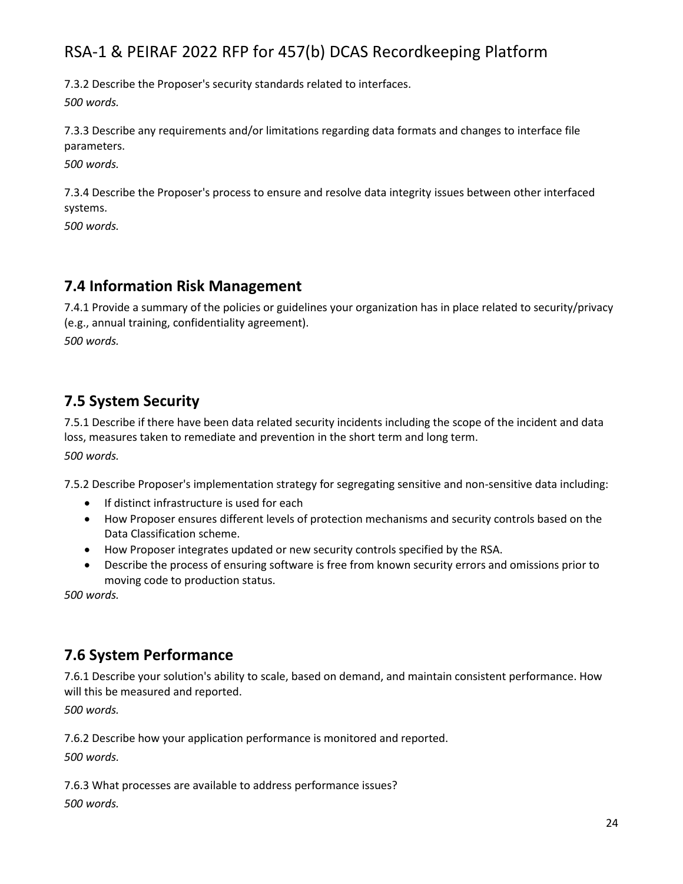7.3.2 Describe the Proposer's security standards related to interfaces. *500 words.*

7.3.3 Describe any requirements and/or limitations regarding data formats and changes to interface file parameters.

*500 words.*

7.3.4 Describe the Proposer's process to ensure and resolve data integrity issues between other interfaced systems.

*500 words.*

### **7.4 Information Risk Management**

7.4.1 Provide a summary of the policies or guidelines your organization has in place related to security/privacy (e.g., annual training, confidentiality agreement). *500 words.*

### **7.5 System Security**

7.5.1 Describe if there have been data related security incidents including the scope of the incident and data loss, measures taken to remediate and prevention in the short term and long term.

*500 words.*

7.5.2 Describe Proposer's implementation strategy for segregating sensitive and non-sensitive data including:

- If distinct infrastructure is used for each
- How Proposer ensures different levels of protection mechanisms and security controls based on the Data Classification scheme.
- How Proposer integrates updated or new security controls specified by the RSA.
- Describe the process of ensuring software is free from known security errors and omissions prior to moving code to production status.

*500 words.*

### **7.6 System Performance**

7.6.1 Describe your solution's ability to scale, based on demand, and maintain consistent performance. How will this be measured and reported.

*500 words.*

7.6.2 Describe how your application performance is monitored and reported. *500 words.*

7.6.3 What processes are available to address performance issues?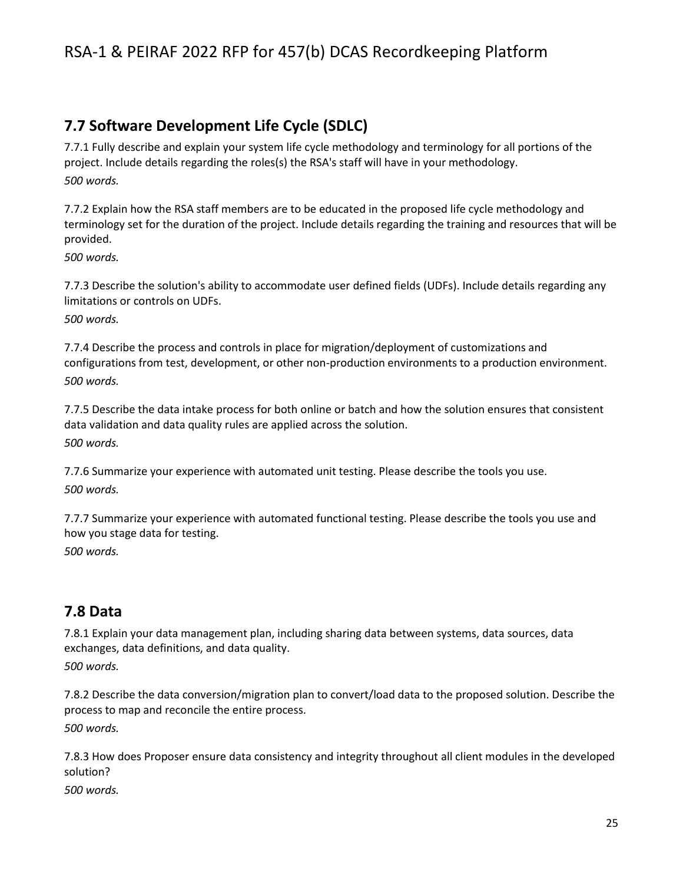### **7.7 Software Development Life Cycle (SDLC)**

7.7.1 Fully describe and explain your system life cycle methodology and terminology for all portions of the project. Include details regarding the roles(s) the RSA's staff will have in your methodology. *500 words.*

7.7.2 Explain how the RSA staff members are to be educated in the proposed life cycle methodology and terminology set for the duration of the project. Include details regarding the training and resources that will be provided.

*500 words.*

7.7.3 Describe the solution's ability to accommodate user defined fields (UDFs). Include details regarding any limitations or controls on UDFs.

*500 words.*

7.7.4 Describe the process and controls in place for migration/deployment of customizations and configurations from test, development, or other non-production environments to a production environment. *500 words.*

7.7.5 Describe the data intake process for both online or batch and how the solution ensures that consistent data validation and data quality rules are applied across the solution. *500 words.*

7.7.6 Summarize your experience with automated unit testing. Please describe the tools you use. *500 words.*

7.7.7 Summarize your experience with automated functional testing. Please describe the tools you use and how you stage data for testing.

*500 words.*

### **7.8 Data**

7.8.1 Explain your data management plan, including sharing data between systems, data sources, data exchanges, data definitions, and data quality. *500 words.*

7.8.2 Describe the data conversion/migration plan to convert/load data to the proposed solution. Describe the process to map and reconcile the entire process. *500 words.*

7.8.3 How does Proposer ensure data consistency and integrity throughout all client modules in the developed solution?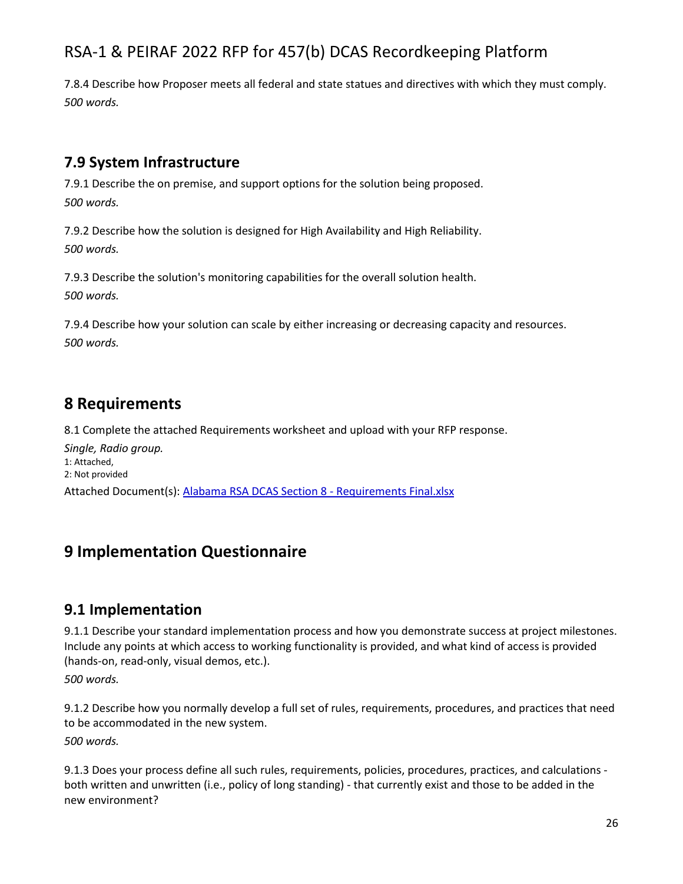7.8.4 Describe how Proposer meets all federal and state statues and directives with which they must comply. *500 words.*

### **7.9 System Infrastructure**

7.9.1 Describe the on premise, and support options for the solution being proposed. *500 words.*

7.9.2 Describe how the solution is designed for High Availability and High Reliability. *500 words.*

7.9.3 Describe the solution's monitoring capabilities for the overall solution health. *500 words.*

7.9.4 Describe how your solution can scale by either increasing or decreasing capacity and resources. *500 words.*

## **8 Requirements**

8.1 Complete the attached Requirements worksheet and upload with your RFP response.

*Single, Radio group.* 1: Attached, 2: Not provided Attached Document(s): [Alabama RSA DCAS Section 8 -](file:///C:/Users/hhein/Downloads/api/doc.php/94027094%3fdoc_id=94027094&howname=0&viachild=1&sessid=v5adminsegal36282_4072_02&popup=1) Requirements Final.xlsx

# **9 Implementation Questionnaire**

### **9.1 Implementation**

9.1.1 Describe your standard implementation process and how you demonstrate success at project milestones. Include any points at which access to working functionality is provided, and what kind of access is provided (hands-on, read-only, visual demos, etc.).

*500 words.*

9.1.2 Describe how you normally develop a full set of rules, requirements, procedures, and practices that need to be accommodated in the new system.

*500 words.*

9.1.3 Does your process define all such rules, requirements, policies, procedures, practices, and calculations both written and unwritten (i.e., policy of long standing) - that currently exist and those to be added in the new environment?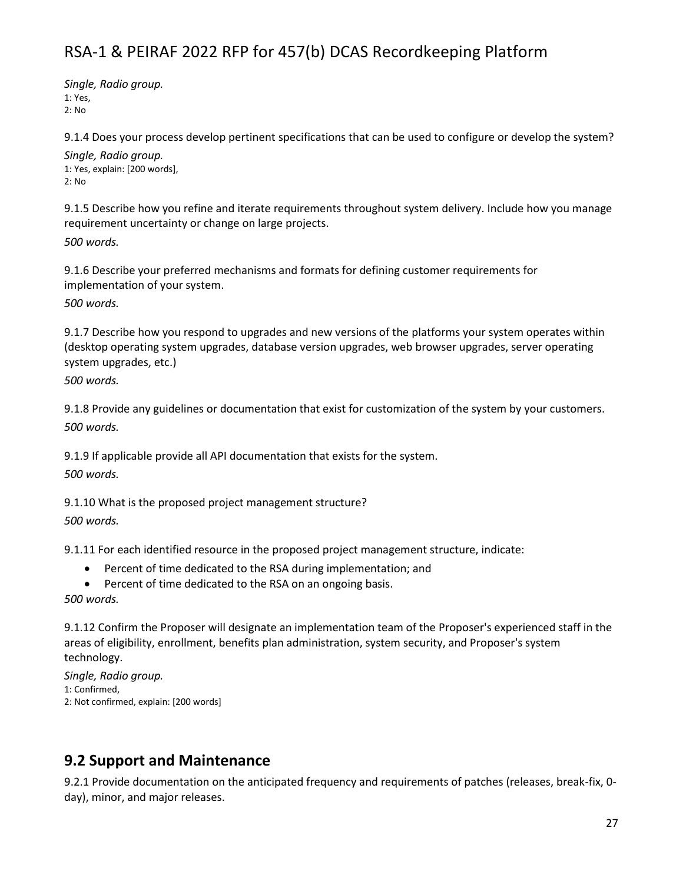*Single, Radio group.* 1: Yes, 2: No

9.1.4 Does your process develop pertinent specifications that can be used to configure or develop the system? *Single, Radio group.*

1: Yes, explain: [200 words], 2: No

9.1.5 Describe how you refine and iterate requirements throughout system delivery. Include how you manage requirement uncertainty or change on large projects.

*500 words.*

9.1.6 Describe your preferred mechanisms and formats for defining customer requirements for implementation of your system.

*500 words.*

9.1.7 Describe how you respond to upgrades and new versions of the platforms your system operates within (desktop operating system upgrades, database version upgrades, web browser upgrades, server operating system upgrades, etc.)

*500 words.*

9.1.8 Provide any guidelines or documentation that exist for customization of the system by your customers. *500 words.*

9.1.9 If applicable provide all API documentation that exists for the system.

*500 words.*

9.1.10 What is the proposed project management structure?

*500 words.*

9.1.11 For each identified resource in the proposed project management structure, indicate:

- Percent of time dedicated to the RSA during implementation; and
- Percent of time dedicated to the RSA on an ongoing basis.

*500 words.*

9.1.12 Confirm the Proposer will designate an implementation team of the Proposer's experienced staff in the areas of eligibility, enrollment, benefits plan administration, system security, and Proposer's system technology.

*Single, Radio group.* 1: Confirmed, 2: Not confirmed, explain: [200 words]

### **9.2 Support and Maintenance**

9.2.1 Provide documentation on the anticipated frequency and requirements of patches (releases, break-fix, 0 day), minor, and major releases.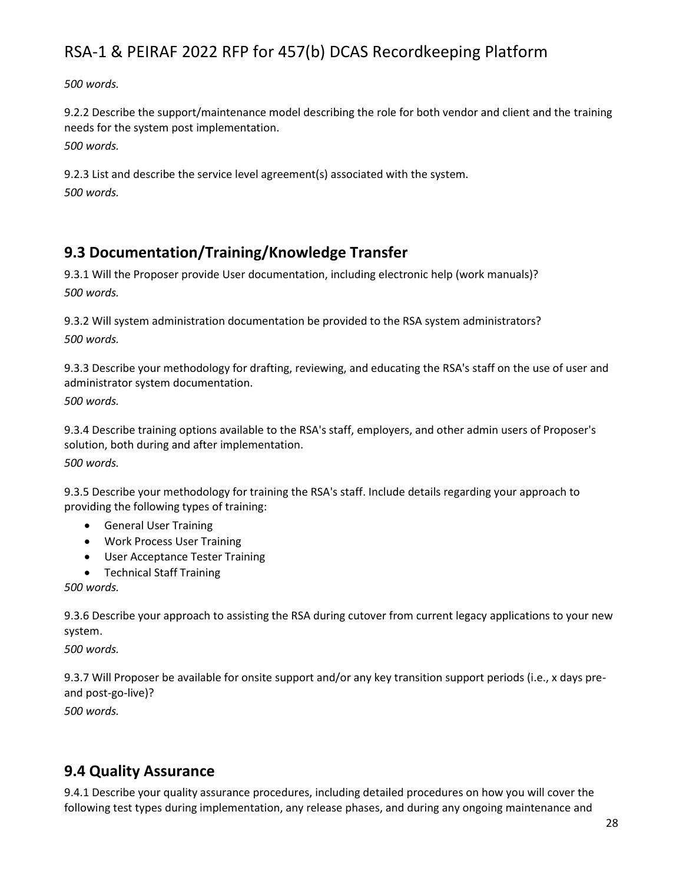*500 words.*

9.2.2 Describe the support/maintenance model describing the role for both vendor and client and the training needs for the system post implementation. *500 words.*

9.2.3 List and describe the service level agreement(s) associated with the system. *500 words.*

## **9.3 Documentation/Training/Knowledge Transfer**

9.3.1 Will the Proposer provide User documentation, including electronic help (work manuals)? *500 words.*

9.3.2 Will system administration documentation be provided to the RSA system administrators? *500 words.*

9.3.3 Describe your methodology for drafting, reviewing, and educating the RSA's staff on the use of user and administrator system documentation.

*500 words.*

9.3.4 Describe training options available to the RSA's staff, employers, and other admin users of Proposer's solution, both during and after implementation.

*500 words.*

9.3.5 Describe your methodology for training the RSA's staff. Include details regarding your approach to providing the following types of training:

- General User Training
- Work Process User Training
- User Acceptance Tester Training
- Technical Staff Training

*500 words.*

9.3.6 Describe your approach to assisting the RSA during cutover from current legacy applications to your new system.

*500 words.*

9.3.7 Will Proposer be available for onsite support and/or any key transition support periods (i.e., x days preand post-go-live)?

*500 words.*

## **9.4 Quality Assurance**

9.4.1 Describe your quality assurance procedures, including detailed procedures on how you will cover the following test types during implementation, any release phases, and during any ongoing maintenance and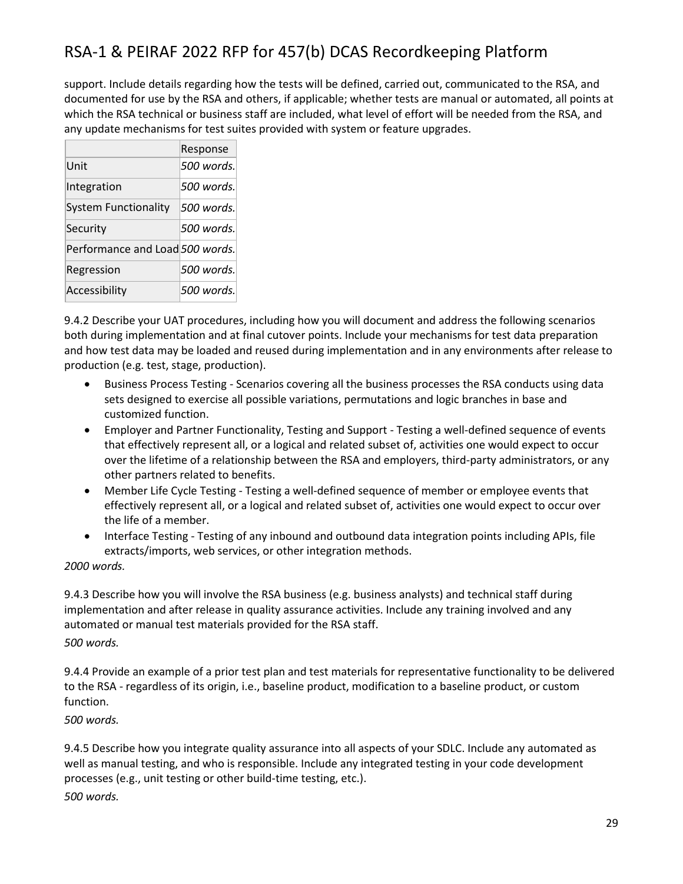support. Include details regarding how the tests will be defined, carried out, communicated to the RSA, and documented for use by the RSA and others, if applicable; whether tests are manual or automated, all points at which the RSA technical or business staff are included, what level of effort will be needed from the RSA, and any update mechanisms for test suites provided with system or feature upgrades.

|                                 | Response    |
|---------------------------------|-------------|
| Unit                            | .500 words. |
| Integration                     | .500 words. |
| <b>System Functionality</b>     | .500 words. |
| Security                        | 500 words.  |
| Performance and Load 500 words. |             |
| Regression                      | .500 words. |
| Accessibility                   | .500 words. |

9.4.2 Describe your UAT procedures, including how you will document and address the following scenarios both during implementation and at final cutover points. Include your mechanisms for test data preparation and how test data may be loaded and reused during implementation and in any environments after release to production (e.g. test, stage, production).

- Business Process Testing Scenarios covering all the business processes the RSA conducts using data sets designed to exercise all possible variations, permutations and logic branches in base and customized function.
- Employer and Partner Functionality, Testing and Support Testing a well-defined sequence of events that effectively represent all, or a logical and related subset of, activities one would expect to occur over the lifetime of a relationship between the RSA and employers, third-party administrators, or any other partners related to benefits.
- Member Life Cycle Testing Testing a well-defined sequence of member or employee events that effectively represent all, or a logical and related subset of, activities one would expect to occur over the life of a member.
- Interface Testing Testing of any inbound and outbound data integration points including APIs, file extracts/imports, web services, or other integration methods.

### *2000 words.*

9.4.3 Describe how you will involve the RSA business (e.g. business analysts) and technical staff during implementation and after release in quality assurance activities. Include any training involved and any automated or manual test materials provided for the RSA staff.

*500 words.*

9.4.4 Provide an example of a prior test plan and test materials for representative functionality to be delivered to the RSA - regardless of its origin, i.e., baseline product, modification to a baseline product, or custom function.

*500 words.*

9.4.5 Describe how you integrate quality assurance into all aspects of your SDLC. Include any automated as well as manual testing, and who is responsible. Include any integrated testing in your code development processes (e.g., unit testing or other build-time testing, etc.). *500 words.*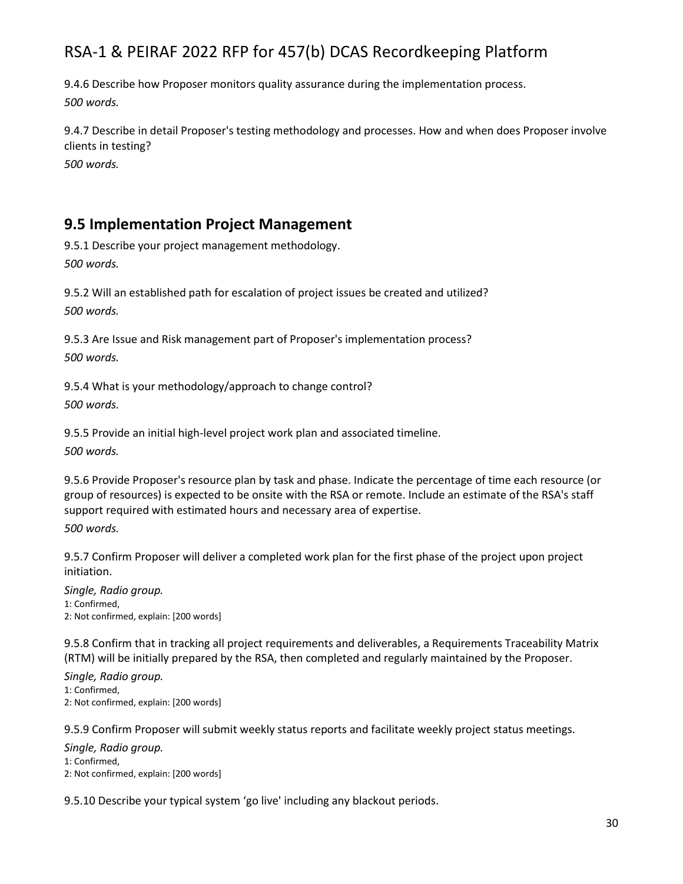9.4.6 Describe how Proposer monitors quality assurance during the implementation process. *500 words.*

9.4.7 Describe in detail Proposer's testing methodology and processes. How and when does Proposer involve clients in testing?

*500 words.*

### **9.5 Implementation Project Management**

9.5.1 Describe your project management methodology. *500 words.*

9.5.2 Will an established path for escalation of project issues be created and utilized? *500 words.*

9.5.3 Are Issue and Risk management part of Proposer's implementation process? *500 words.*

9.5.4 What is your methodology/approach to change control? *500 words.*

9.5.5 Provide an initial high-level project work plan and associated timeline. *500 words.*

9.5.6 Provide Proposer's resource plan by task and phase. Indicate the percentage of time each resource (or group of resources) is expected to be onsite with the RSA or remote. Include an estimate of the RSA's staff support required with estimated hours and necessary area of expertise. *500 words.*

9.5.7 Confirm Proposer will deliver a completed work plan for the first phase of the project upon project initiation.

*Single, Radio group.* 1: Confirmed, 2: Not confirmed, explain: [200 words]

9.5.8 Confirm that in tracking all project requirements and deliverables, a Requirements Traceability Matrix (RTM) will be initially prepared by the RSA, then completed and regularly maintained by the Proposer.

*Single, Radio group.* 1: Confirmed, 2: Not confirmed, explain: [200 words]

9.5.9 Confirm Proposer will submit weekly status reports and facilitate weekly project status meetings.

*Single, Radio group.* 1: Confirmed, 2: Not confirmed, explain: [200 words]

9.5.10 Describe your typical system 'go live' including any blackout periods.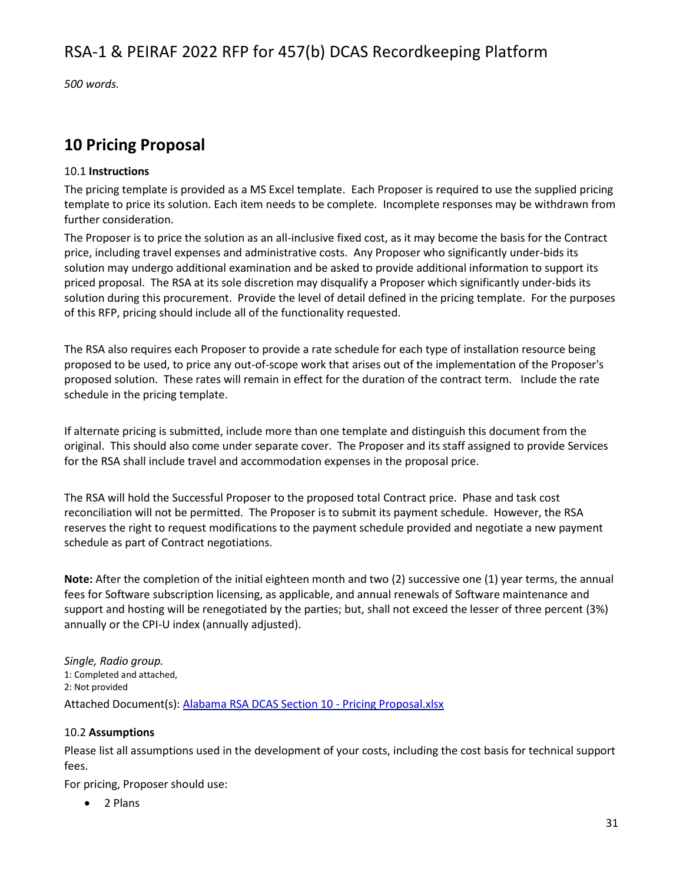*500 words.*

## **10 Pricing Proposal**

### 10.1 **Instructions**

The pricing template is provided as a MS Excel template. Each Proposer is required to use the supplied pricing template to price its solution. Each item needs to be complete. Incomplete responses may be withdrawn from further consideration.

The Proposer is to price the solution as an all-inclusive fixed cost, as it may become the basis for the Contract price, including travel expenses and administrative costs. Any Proposer who significantly under-bids its solution may undergo additional examination and be asked to provide additional information to support its priced proposal. The RSA at its sole discretion may disqualify a Proposer which significantly under-bids its solution during this procurement. Provide the level of detail defined in the pricing template. For the purposes of this RFP, pricing should include all of the functionality requested.

The RSA also requires each Proposer to provide a rate schedule for each type of installation resource being proposed to be used, to price any out-of-scope work that arises out of the implementation of the Proposer's proposed solution. These rates will remain in effect for the duration of the contract term. Include the rate schedule in the pricing template.

If alternate pricing is submitted, include more than one template and distinguish this document from the original. This should also come under separate cover. The Proposer and its staff assigned to provide Services for the RSA shall include travel and accommodation expenses in the proposal price.

The RSA will hold the Successful Proposer to the proposed total Contract price. Phase and task cost reconciliation will not be permitted. The Proposer is to submit its payment schedule. However, the RSA reserves the right to request modifications to the payment schedule provided and negotiate a new payment schedule as part of Contract negotiations.

**Note:** After the completion of the initial eighteen month and two (2) successive one (1) year terms, the annual fees for Software subscription licensing, as applicable, and annual renewals of Software maintenance and support and hosting will be renegotiated by the parties; but, shall not exceed the lesser of three percent (3%) annually or the CPI-U index (annually adjusted).

*Single, Radio group.* 1: Completed and attached, 2: Not provided Attached Document(s): [Alabama RSA DCAS Section 10 -](file:///C:/Users/hhein/Downloads/api/doc.php/94027445%3fdoc_id=94027445&howname=0&viachild=1&sessid=v5adminsegal36282_4072_02&popup=1) Pricing Proposal.xlsx

### 10.2 **Assumptions**

Please list all assumptions used in the development of your costs, including the cost basis for technical support fees.

For pricing, Proposer should use:

• 2 Plans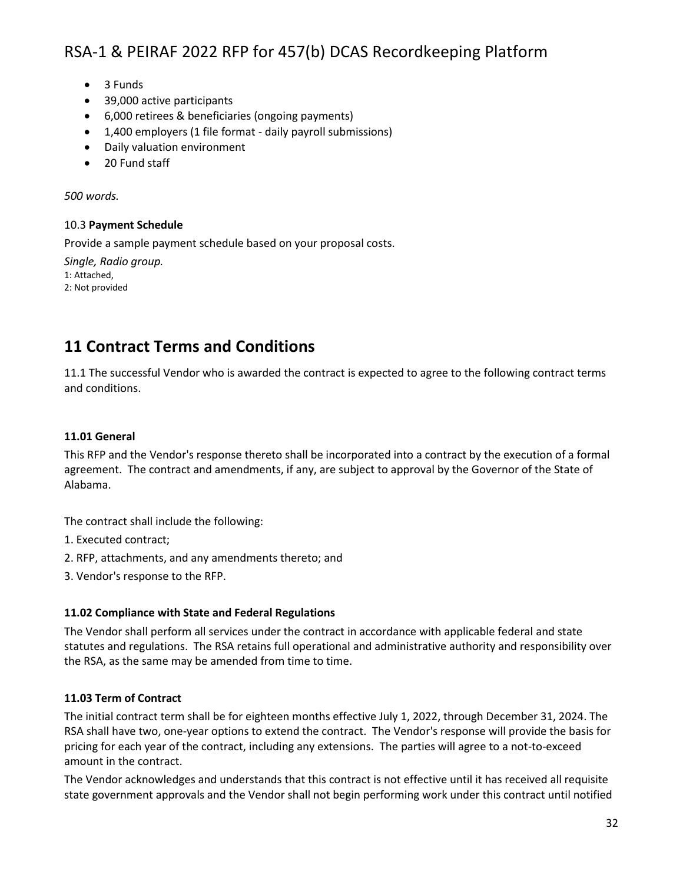- 3 Funds
- 39,000 active participants
- 6,000 retirees & beneficiaries (ongoing payments)
- 1,400 employers (1 file format daily payroll submissions)
- Daily valuation environment
- 20 Fund staff

*500 words.*

### 10.3 **Payment Schedule**

Provide a sample payment schedule based on your proposal costs.

*Single, Radio group.* 1: Attached, 2: Not provided

### **11 Contract Terms and Conditions**

11.1 The successful Vendor who is awarded the contract is expected to agree to the following contract terms and conditions.

### **11.01 General**

This RFP and the Vendor's response thereto shall be incorporated into a contract by the execution of a formal agreement. The contract and amendments, if any, are subject to approval by the Governor of the State of Alabama.

The contract shall include the following:

- 1. Executed contract;
- 2. RFP, attachments, and any amendments thereto; and
- 3. Vendor's response to the RFP.

### **11.02 Compliance with State and Federal Regulations**

The Vendor shall perform all services under the contract in accordance with applicable federal and state statutes and regulations. The RSA retains full operational and administrative authority and responsibility over the RSA, as the same may be amended from time to time.

### **11.03 Term of Contract**

The initial contract term shall be for eighteen months effective July 1, 2022, through December 31, 2024. The RSA shall have two, one-year options to extend the contract. The Vendor's response will provide the basis for pricing for each year of the contract, including any extensions. The parties will agree to a not-to-exceed amount in the contract.

The Vendor acknowledges and understands that this contract is not effective until it has received all requisite state government approvals and the Vendor shall not begin performing work under this contract until notified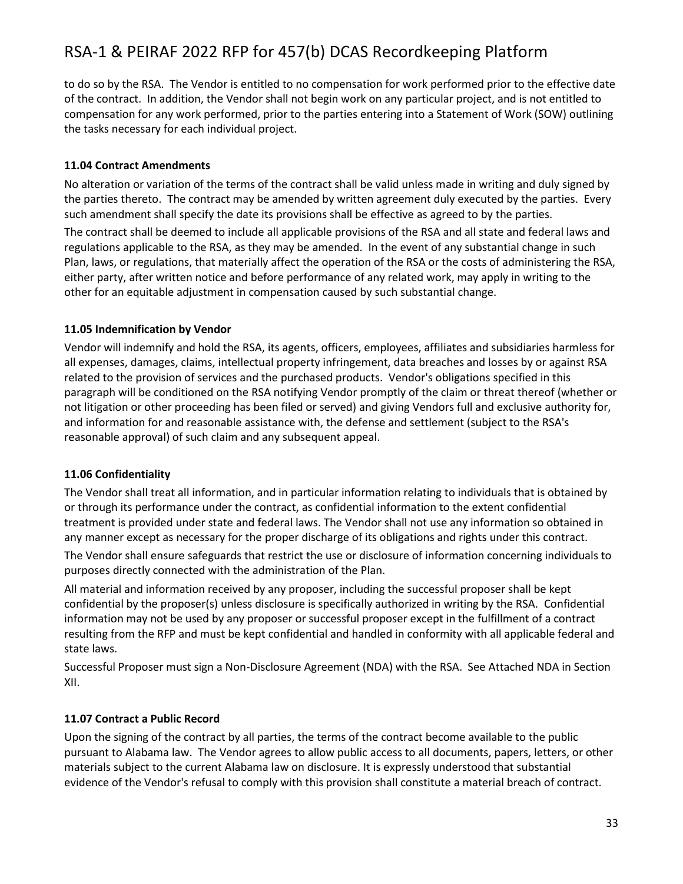to do so by the RSA. The Vendor is entitled to no compensation for work performed prior to the effective date of the contract. In addition, the Vendor shall not begin work on any particular project, and is not entitled to compensation for any work performed, prior to the parties entering into a Statement of Work (SOW) outlining the tasks necessary for each individual project.

### **11.04 Contract Amendments**

No alteration or variation of the terms of the contract shall be valid unless made in writing and duly signed by the parties thereto. The contract may be amended by written agreement duly executed by the parties. Every such amendment shall specify the date its provisions shall be effective as agreed to by the parties.

The contract shall be deemed to include all applicable provisions of the RSA and all state and federal laws and regulations applicable to the RSA, as they may be amended. In the event of any substantial change in such Plan, laws, or regulations, that materially affect the operation of the RSA or the costs of administering the RSA, either party, after written notice and before performance of any related work, may apply in writing to the other for an equitable adjustment in compensation caused by such substantial change.

### **11.05 Indemnification by Vendor**

Vendor will indemnify and hold the RSA, its agents, officers, employees, affiliates and subsidiaries harmless for all expenses, damages, claims, intellectual property infringement, data breaches and losses by or against RSA related to the provision of services and the purchased products. Vendor's obligations specified in this paragraph will be conditioned on the RSA notifying Vendor promptly of the claim or threat thereof (whether or not litigation or other proceeding has been filed or served) and giving Vendors full and exclusive authority for, and information for and reasonable assistance with, the defense and settlement (subject to the RSA's reasonable approval) of such claim and any subsequent appeal.

### **11.06 Confidentiality**

The Vendor shall treat all information, and in particular information relating to individuals that is obtained by or through its performance under the contract, as confidential information to the extent confidential treatment is provided under state and federal laws. The Vendor shall not use any information so obtained in any manner except as necessary for the proper discharge of its obligations and rights under this contract.

The Vendor shall ensure safeguards that restrict the use or disclosure of information concerning individuals to purposes directly connected with the administration of the Plan.

All material and information received by any proposer, including the successful proposer shall be kept confidential by the proposer(s) unless disclosure is specifically authorized in writing by the RSA. Confidential information may not be used by any proposer or successful proposer except in the fulfillment of a contract resulting from the RFP and must be kept confidential and handled in conformity with all applicable federal and state laws.

Successful Proposer must sign a Non-Disclosure Agreement (NDA) with the RSA. See Attached NDA in Section XII.

### **11.07 Contract a Public Record**

Upon the signing of the contract by all parties, the terms of the contract become available to the public pursuant to Alabama law. The Vendor agrees to allow public access to all documents, papers, letters, or other materials subject to the current Alabama law on disclosure. It is expressly understood that substantial evidence of the Vendor's refusal to comply with this provision shall constitute a material breach of contract.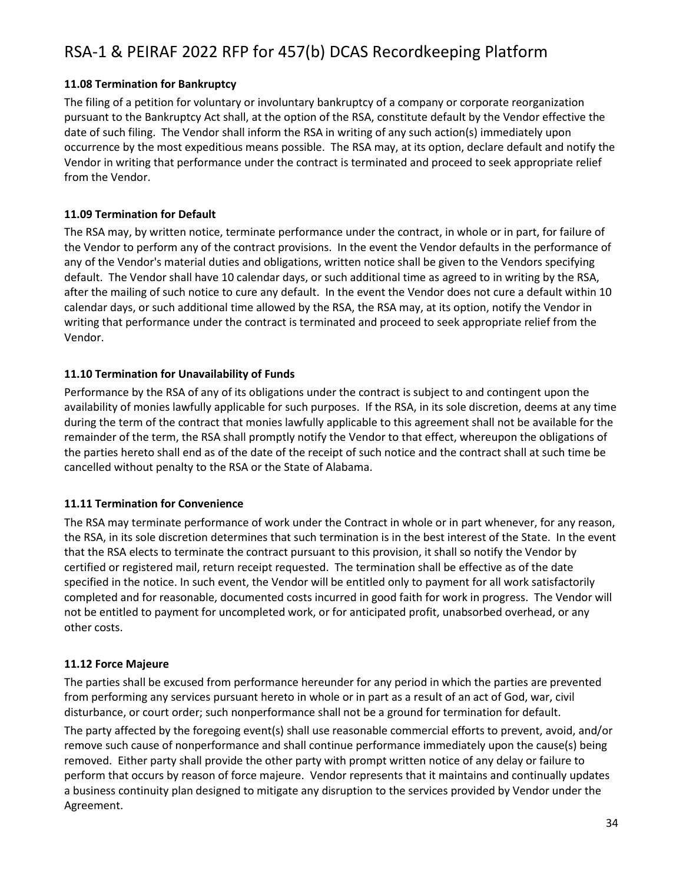### **11.08 Termination for Bankruptcy**

The filing of a petition for voluntary or involuntary bankruptcy of a company or corporate reorganization pursuant to the Bankruptcy Act shall, at the option of the RSA, constitute default by the Vendor effective the date of such filing. The Vendor shall inform the RSA in writing of any such action(s) immediately upon occurrence by the most expeditious means possible. The RSA may, at its option, declare default and notify the Vendor in writing that performance under the contract is terminated and proceed to seek appropriate relief from the Vendor.

### **11.09 Termination for Default**

The RSA may, by written notice, terminate performance under the contract, in whole or in part, for failure of the Vendor to perform any of the contract provisions. In the event the Vendor defaults in the performance of any of the Vendor's material duties and obligations, written notice shall be given to the Vendors specifying default. The Vendor shall have 10 calendar days, or such additional time as agreed to in writing by the RSA, after the mailing of such notice to cure any default. In the event the Vendor does not cure a default within 10 calendar days, or such additional time allowed by the RSA, the RSA may, at its option, notify the Vendor in writing that performance under the contract is terminated and proceed to seek appropriate relief from the Vendor.

### **11.10 Termination for Unavailability of Funds**

Performance by the RSA of any of its obligations under the contract is subject to and contingent upon the availability of monies lawfully applicable for such purposes. If the RSA, in its sole discretion, deems at any time during the term of the contract that monies lawfully applicable to this agreement shall not be available for the remainder of the term, the RSA shall promptly notify the Vendor to that effect, whereupon the obligations of the parties hereto shall end as of the date of the receipt of such notice and the contract shall at such time be cancelled without penalty to the RSA or the State of Alabama.

### **11.11 Termination for Convenience**

The RSA may terminate performance of work under the Contract in whole or in part whenever, for any reason, the RSA, in its sole discretion determines that such termination is in the best interest of the State. In the event that the RSA elects to terminate the contract pursuant to this provision, it shall so notify the Vendor by certified or registered mail, return receipt requested. The termination shall be effective as of the date specified in the notice. In such event, the Vendor will be entitled only to payment for all work satisfactorily completed and for reasonable, documented costs incurred in good faith for work in progress. The Vendor will not be entitled to payment for uncompleted work, or for anticipated profit, unabsorbed overhead, or any other costs.

### **11.12 Force Majeure**

The parties shall be excused from performance hereunder for any period in which the parties are prevented from performing any services pursuant hereto in whole or in part as a result of an act of God, war, civil disturbance, or court order; such nonperformance shall not be a ground for termination for default.

The party affected by the foregoing event(s) shall use reasonable commercial efforts to prevent, avoid, and/or remove such cause of nonperformance and shall continue performance immediately upon the cause(s) being removed. Either party shall provide the other party with prompt written notice of any delay or failure to perform that occurs by reason of force majeure. Vendor represents that it maintains and continually updates a business continuity plan designed to mitigate any disruption to the services provided by Vendor under the Agreement.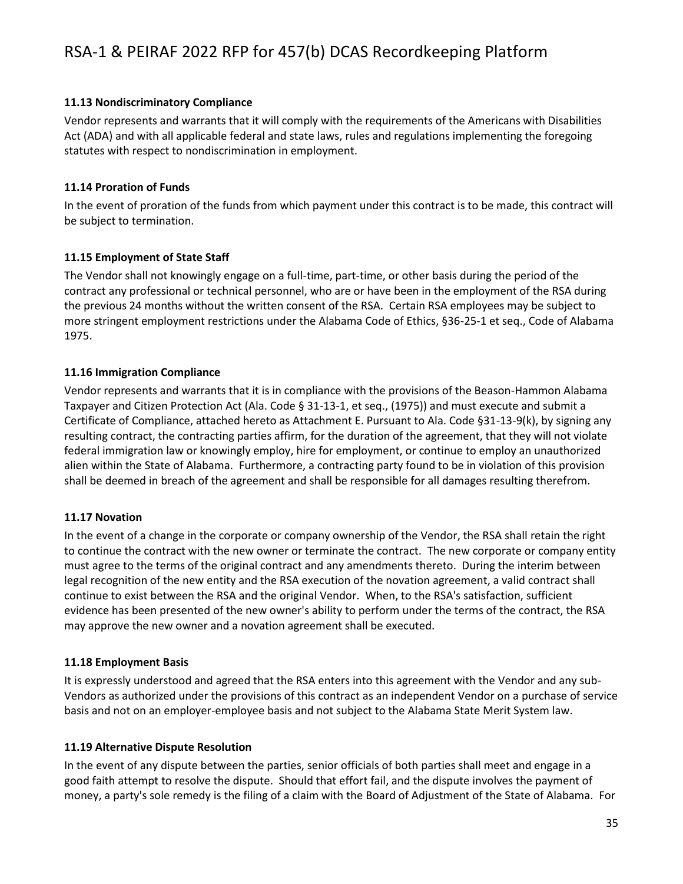### **11.13 Nondiscriminatory Compliance**

Vendor represents and warrants that it will comply with the requirements of the Americans with Disabilities Act (ADA) and with all applicable federal and state laws, rules and regulations implementing the foregoing statutes with respect to nondiscrimination in employment.

### **11.14 Proration of Funds**

In the event of proration of the funds from which payment under this contract is to be made, this contract will be subject to termination.

### **11.15 Employment of State Staff**

The Vendor shall not knowingly engage on a full-time, part-time, or other basis during the period of the contract any professional or technical personnel, who are or have been in the employment of the RSA during the previous 24 months without the written consent of the RSA. Certain RSA employees may be subject to more stringent employment restrictions under the Alabama Code of Ethics, §36-25-1 et seq., Code of Alabama 1975.

### **11.16 Immigration Compliance**

Vendor represents and warrants that it is in compliance with the provisions of the Beason-Hammon Alabama Taxpayer and Citizen Protection Act (Ala. Code § 31-13-1, et seq., (1975)) and must execute and submit a Certificate of Compliance, attached hereto as Attachment E. Pursuant to Ala. Code §31-13-9(k), by signing any resulting contract, the contracting parties affirm, for the duration of the agreement, that they will not violate federal immigration law or knowingly employ, hire for employment, or continue to employ an unauthorized alien within the State of Alabama. Furthermore, a contracting party found to be in violation of this provision shall be deemed in breach of the agreement and shall be responsible for all damages resulting therefrom.

### **11.17 Novation**

In the event of a change in the corporate or company ownership of the Vendor, the RSA shall retain the right to continue the contract with the new owner or terminate the contract. The new corporate or company entity must agree to the terms of the original contract and any amendments thereto. During the interim between legal recognition of the new entity and the RSA execution of the novation agreement, a valid contract shall continue to exist between the RSA and the original Vendor. When, to the RSA's satisfaction, sufficient evidence has been presented of the new owner's ability to perform under the terms of the contract, the RSA may approve the new owner and a novation agreement shall be executed.

### **11.18 Employment Basis**

It is expressly understood and agreed that the RSA enters into this agreement with the Vendor and any sub-Vendors as authorized under the provisions of this contract as an independent Vendor on a purchase of service basis and not on an employer-employee basis and not subject to the Alabama State Merit System law.

### **11.19 Alternative Dispute Resolution**

In the event of any dispute between the parties, senior officials of both parties shall meet and engage in a good faith attempt to resolve the dispute. Should that effort fail, and the dispute involves the payment of money, a party's sole remedy is the filing of a claim with the Board of Adjustment of the State of Alabama. For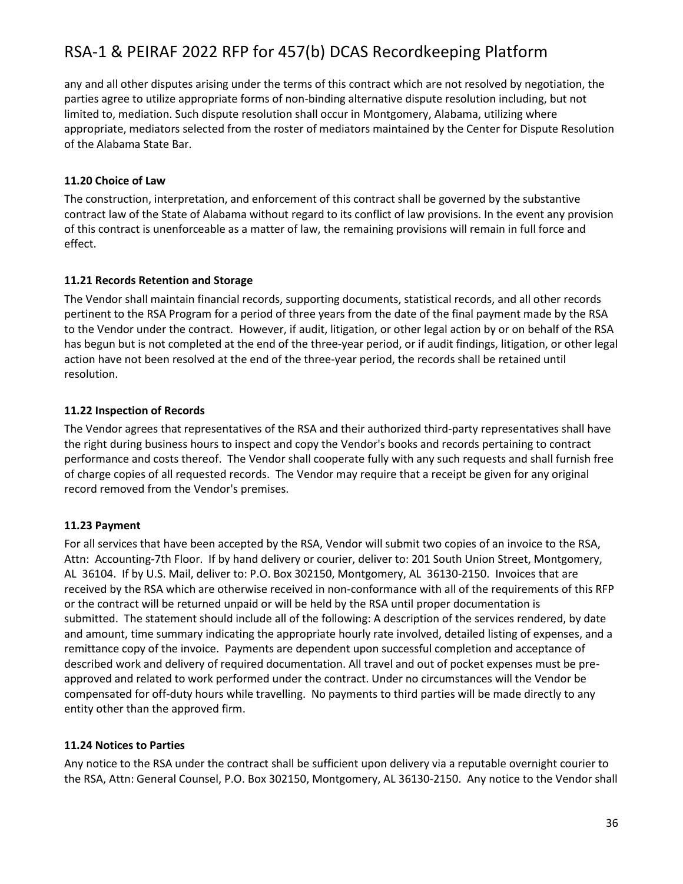any and all other disputes arising under the terms of this contract which are not resolved by negotiation, the parties agree to utilize appropriate forms of non-binding alternative dispute resolution including, but not limited to, mediation. Such dispute resolution shall occur in Montgomery, Alabama, utilizing where appropriate, mediators selected from the roster of mediators maintained by the Center for Dispute Resolution of the Alabama State Bar.

### **11.20 Choice of Law**

The construction, interpretation, and enforcement of this contract shall be governed by the substantive contract law of the State of Alabama without regard to its conflict of law provisions. In the event any provision of this contract is unenforceable as a matter of law, the remaining provisions will remain in full force and effect.

#### **11.21 Records Retention and Storage**

The Vendor shall maintain financial records, supporting documents, statistical records, and all other records pertinent to the RSA Program for a period of three years from the date of the final payment made by the RSA to the Vendor under the contract. However, if audit, litigation, or other legal action by or on behalf of the RSA has begun but is not completed at the end of the three-year period, or if audit findings, litigation, or other legal action have not been resolved at the end of the three-year period, the records shall be retained until resolution.

#### **11.22 Inspection of Records**

The Vendor agrees that representatives of the RSA and their authorized third-party representatives shall have the right during business hours to inspect and copy the Vendor's books and records pertaining to contract performance and costs thereof. The Vendor shall cooperate fully with any such requests and shall furnish free of charge copies of all requested records. The Vendor may require that a receipt be given for any original record removed from the Vendor's premises.

### **11.23 Payment**

For all services that have been accepted by the RSA, Vendor will submit two copies of an invoice to the RSA, Attn: Accounting-7th Floor. If by hand delivery or courier, deliver to: 201 South Union Street, Montgomery, AL 36104. If by U.S. Mail, deliver to: P.O. Box 302150, Montgomery, AL 36130-2150. Invoices that are received by the RSA which are otherwise received in non-conformance with all of the requirements of this RFP or the contract will be returned unpaid or will be held by the RSA until proper documentation is submitted. The statement should include all of the following: A description of the services rendered, by date and amount, time summary indicating the appropriate hourly rate involved, detailed listing of expenses, and a remittance copy of the invoice. Payments are dependent upon successful completion and acceptance of described work and delivery of required documentation. All travel and out of pocket expenses must be preapproved and related to work performed under the contract. Under no circumstances will the Vendor be compensated for off-duty hours while travelling. No payments to third parties will be made directly to any entity other than the approved firm.

#### **11.24 Notices to Parties**

Any notice to the RSA under the contract shall be sufficient upon delivery via a reputable overnight courier to the RSA, Attn: General Counsel, P.O. Box 302150, Montgomery, AL 36130-2150. Any notice to the Vendor shall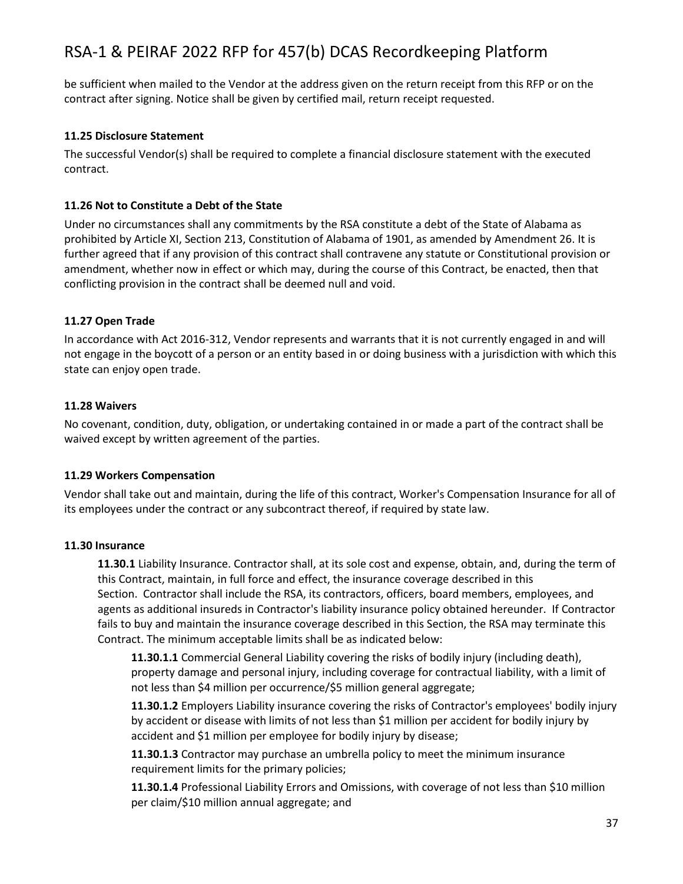be sufficient when mailed to the Vendor at the address given on the return receipt from this RFP or on the contract after signing. Notice shall be given by certified mail, return receipt requested.

### **11.25 Disclosure Statement**

The successful Vendor(s) shall be required to complete a financial disclosure statement with the executed contract.

### **11.26 Not to Constitute a Debt of the State**

Under no circumstances shall any commitments by the RSA constitute a debt of the State of Alabama as prohibited by Article XI, Section 213, Constitution of Alabama of 1901, as amended by Amendment 26. It is further agreed that if any provision of this contract shall contravene any statute or Constitutional provision or amendment, whether now in effect or which may, during the course of this Contract, be enacted, then that conflicting provision in the contract shall be deemed null and void.

### **11.27 Open Trade**

In accordance with Act 2016-312, Vendor represents and warrants that it is not currently engaged in and will not engage in the boycott of a person or an entity based in or doing business with a jurisdiction with which this state can enjoy open trade.

### **11.28 Waivers**

No covenant, condition, duty, obligation, or undertaking contained in or made a part of the contract shall be waived except by written agreement of the parties.

### **11.29 Workers Compensation**

Vendor shall take out and maintain, during the life of this contract, Worker's Compensation Insurance for all of its employees under the contract or any subcontract thereof, if required by state law.

### **11.30 Insurance**

**11.30.1** Liability Insurance. Contractor shall, at its sole cost and expense, obtain, and, during the term of this Contract, maintain, in full force and effect, the insurance coverage described in this Section. Contractor shall include the RSA, its contractors, officers, board members, employees, and agents as additional insureds in Contractor's liability insurance policy obtained hereunder. If Contractor fails to buy and maintain the insurance coverage described in this Section, the RSA may terminate this Contract. The minimum acceptable limits shall be as indicated below:

**11.30.1.1** Commercial General Liability covering the risks of bodily injury (including death), property damage and personal injury, including coverage for contractual liability, with a limit of not less than \$4 million per occurrence/\$5 million general aggregate;

**11.30.1.2** Employers Liability insurance covering the risks of Contractor's employees' bodily injury by accident or disease with limits of not less than \$1 million per accident for bodily injury by accident and \$1 million per employee for bodily injury by disease;

**11.30.1.3** Contractor may purchase an umbrella policy to meet the minimum insurance requirement limits for the primary policies;

**11.30.1.4** Professional Liability Errors and Omissions, with coverage of not less than \$10 million per claim/\$10 million annual aggregate; and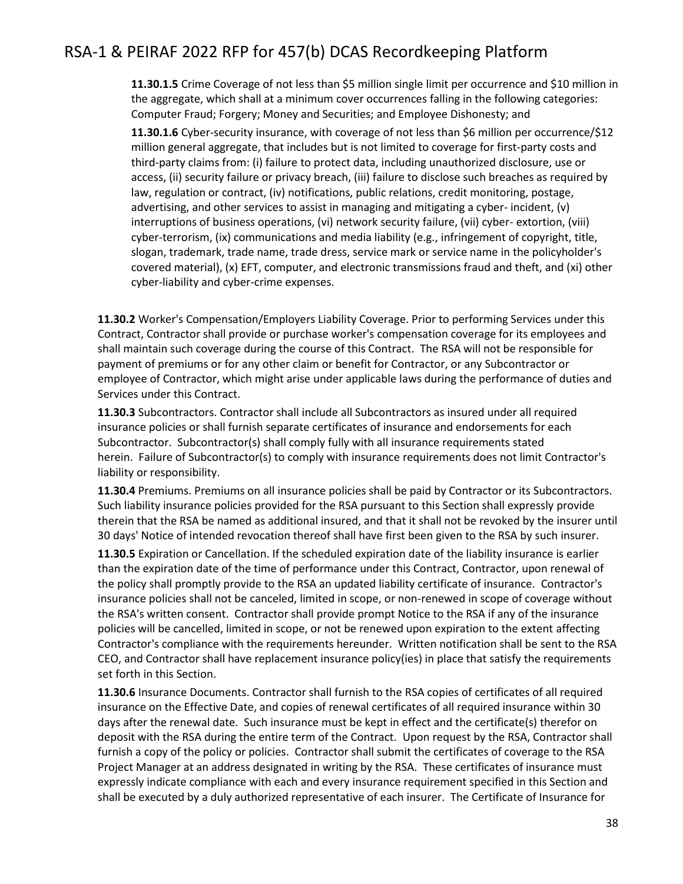**11.30.1.5** Crime Coverage of not less than \$5 million single limit per occurrence and \$10 million in the aggregate, which shall at a minimum cover occurrences falling in the following categories: Computer Fraud; Forgery; Money and Securities; and Employee Dishonesty; and

**11.30.1.6** Cyber-security insurance, with coverage of not less than \$6 million per occurrence/\$12 million general aggregate, that includes but is not limited to coverage for first-party costs and third-party claims from: (i) failure to protect data, including unauthorized disclosure, use or access, (ii) security failure or privacy breach, (iii) failure to disclose such breaches as required by law, regulation or contract, (iv) notifications, public relations, credit monitoring, postage, advertising, and other services to assist in managing and mitigating a cyber- incident, (v) interruptions of business operations, (vi) network security failure, (vii) cyber- extortion, (viii) cyber-terrorism, (ix) communications and media liability (e.g., infringement of copyright, title, slogan, trademark, trade name, trade dress, service mark or service name in the policyholder's covered material), (x) EFT, computer, and electronic transmissions fraud and theft, and (xi) other cyber-liability and cyber-crime expenses.

**11.30.2** Worker's Compensation/Employers Liability Coverage. Prior to performing Services under this Contract, Contractor shall provide or purchase worker's compensation coverage for its employees and shall maintain such coverage during the course of this Contract. The RSA will not be responsible for payment of premiums or for any other claim or benefit for Contractor, or any Subcontractor or employee of Contractor, which might arise under applicable laws during the performance of duties and Services under this Contract.

**11.30.3** Subcontractors. Contractor shall include all Subcontractors as insured under all required insurance policies or shall furnish separate certificates of insurance and endorsements for each Subcontractor. Subcontractor(s) shall comply fully with all insurance requirements stated herein. Failure of Subcontractor(s) to comply with insurance requirements does not limit Contractor's liability or responsibility.

**11.30.4** Premiums. Premiums on all insurance policies shall be paid by Contractor or its Subcontractors. Such liability insurance policies provided for the RSA pursuant to this Section shall expressly provide therein that the RSA be named as additional insured, and that it shall not be revoked by the insurer until 30 days' Notice of intended revocation thereof shall have first been given to the RSA by such insurer.

**11.30.5** Expiration or Cancellation. If the scheduled expiration date of the liability insurance is earlier than the expiration date of the time of performance under this Contract, Contractor, upon renewal of the policy shall promptly provide to the RSA an updated liability certificate of insurance. Contractor's insurance policies shall not be canceled, limited in scope, or non-renewed in scope of coverage without the RSA's written consent. Contractor shall provide prompt Notice to the RSA if any of the insurance policies will be cancelled, limited in scope, or not be renewed upon expiration to the extent affecting Contractor's compliance with the requirements hereunder. Written notification shall be sent to the RSA CEO, and Contractor shall have replacement insurance policy(ies) in place that satisfy the requirements set forth in this Section.

**11.30.6** Insurance Documents. Contractor shall furnish to the RSA copies of certificates of all required insurance on the Effective Date, and copies of renewal certificates of all required insurance within 30 days after the renewal date. Such insurance must be kept in effect and the certificate(s) therefor on deposit with the RSA during the entire term of the Contract. Upon request by the RSA, Contractor shall furnish a copy of the policy or policies. Contractor shall submit the certificates of coverage to the RSA Project Manager at an address designated in writing by the RSA. These certificates of insurance must expressly indicate compliance with each and every insurance requirement specified in this Section and shall be executed by a duly authorized representative of each insurer. The Certificate of Insurance for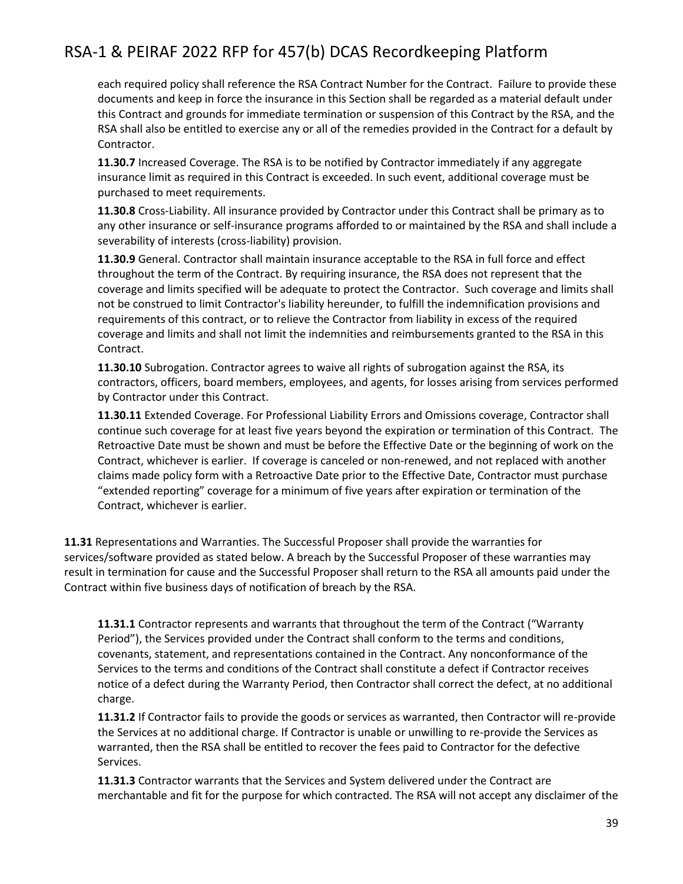each required policy shall reference the RSA Contract Number for the Contract. Failure to provide these documents and keep in force the insurance in this Section shall be regarded as a material default under this Contract and grounds for immediate termination or suspension of this Contract by the RSA, and the RSA shall also be entitled to exercise any or all of the remedies provided in the Contract for a default by Contractor.

**11.30.7** Increased Coverage. The RSA is to be notified by Contractor immediately if any aggregate insurance limit as required in this Contract is exceeded. In such event, additional coverage must be purchased to meet requirements.

**11.30.8** Cross-Liability. All insurance provided by Contractor under this Contract shall be primary as to any other insurance or self-insurance programs afforded to or maintained by the RSA and shall include a severability of interests (cross-liability) provision.

**11.30.9** General. Contractor shall maintain insurance acceptable to the RSA in full force and effect throughout the term of the Contract. By requiring insurance, the RSA does not represent that the coverage and limits specified will be adequate to protect the Contractor. Such coverage and limits shall not be construed to limit Contractor's liability hereunder, to fulfill the indemnification provisions and requirements of this contract, or to relieve the Contractor from liability in excess of the required coverage and limits and shall not limit the indemnities and reimbursements granted to the RSA in this Contract.

**11.30.10** Subrogation. Contractor agrees to waive all rights of subrogation against the RSA, its contractors, officers, board members, employees, and agents, for losses arising from services performed by Contractor under this Contract.

**11.30.11** Extended Coverage. For Professional Liability Errors and Omissions coverage, Contractor shall continue such coverage for at least five years beyond the expiration or termination of this Contract. The Retroactive Date must be shown and must be before the Effective Date or the beginning of work on the Contract, whichever is earlier. If coverage is canceled or non-renewed, and not replaced with another claims made policy form with a Retroactive Date prior to the Effective Date, Contractor must purchase "extended reporting" coverage for a minimum of five years after expiration or termination of the Contract, whichever is earlier.

**11.31** Representations and Warranties. The Successful Proposer shall provide the warranties for services/software provided as stated below. A breach by the Successful Proposer of these warranties may result in termination for cause and the Successful Proposer shall return to the RSA all amounts paid under the Contract within five business days of notification of breach by the RSA.

**11.31.1** Contractor represents and warrants that throughout the term of the Contract ("Warranty Period"), the Services provided under the Contract shall conform to the terms and conditions, covenants, statement, and representations contained in the Contract. Any nonconformance of the Services to the terms and conditions of the Contract shall constitute a defect if Contractor receives notice of a defect during the Warranty Period, then Contractor shall correct the defect, at no additional charge.

**11.31.2** If Contractor fails to provide the goods or services as warranted, then Contractor will re-provide the Services at no additional charge. If Contractor is unable or unwilling to re-provide the Services as warranted, then the RSA shall be entitled to recover the fees paid to Contractor for the defective Services.

**11.31.3** Contractor warrants that the Services and System delivered under the Contract are merchantable and fit for the purpose for which contracted. The RSA will not accept any disclaimer of the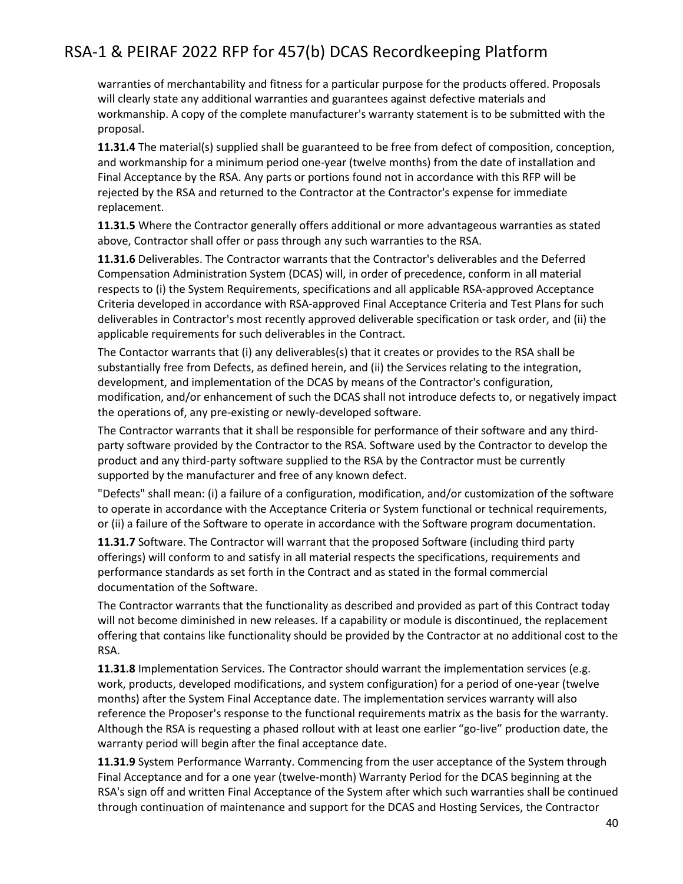warranties of merchantability and fitness for a particular purpose for the products offered. Proposals will clearly state any additional warranties and guarantees against defective materials and workmanship. A copy of the complete manufacturer's warranty statement is to be submitted with the proposal.

**11.31.4** The material(s) supplied shall be guaranteed to be free from defect of composition, conception, and workmanship for a minimum period one-year (twelve months) from the date of installation and Final Acceptance by the RSA. Any parts or portions found not in accordance with this RFP will be rejected by the RSA and returned to the Contractor at the Contractor's expense for immediate replacement.

**11.31.5** Where the Contractor generally offers additional or more advantageous warranties as stated above, Contractor shall offer or pass through any such warranties to the RSA.

**11.31.6** Deliverables. The Contractor warrants that the Contractor's deliverables and the Deferred Compensation Administration System (DCAS) will, in order of precedence, conform in all material respects to (i) the System Requirements, specifications and all applicable RSA-approved Acceptance Criteria developed in accordance with RSA-approved Final Acceptance Criteria and Test Plans for such deliverables in Contractor's most recently approved deliverable specification or task order, and (ii) the applicable requirements for such deliverables in the Contract.

The Contactor warrants that (i) any deliverables(s) that it creates or provides to the RSA shall be substantially free from Defects, as defined herein, and (ii) the Services relating to the integration, development, and implementation of the DCAS by means of the Contractor's configuration, modification, and/or enhancement of such the DCAS shall not introduce defects to, or negatively impact the operations of, any pre-existing or newly-developed software.

The Contractor warrants that it shall be responsible for performance of their software and any thirdparty software provided by the Contractor to the RSA. Software used by the Contractor to develop the product and any third-party software supplied to the RSA by the Contractor must be currently supported by the manufacturer and free of any known defect.

"Defects" shall mean: (i) a failure of a configuration, modification, and/or customization of the software to operate in accordance with the Acceptance Criteria or System functional or technical requirements, or (ii) a failure of the Software to operate in accordance with the Software program documentation.

**11.31.7** Software. The Contractor will warrant that the proposed Software (including third party offerings) will conform to and satisfy in all material respects the specifications, requirements and performance standards as set forth in the Contract and as stated in the formal commercial documentation of the Software.

The Contractor warrants that the functionality as described and provided as part of this Contract today will not become diminished in new releases. If a capability or module is discontinued, the replacement offering that contains like functionality should be provided by the Contractor at no additional cost to the RSA.

**11.31.8** Implementation Services. The Contractor should warrant the implementation services (e.g. work, products, developed modifications, and system configuration) for a period of one-year (twelve months) after the System Final Acceptance date. The implementation services warranty will also reference the Proposer's response to the functional requirements matrix as the basis for the warranty. Although the RSA is requesting a phased rollout with at least one earlier "go-live" production date, the warranty period will begin after the final acceptance date.

**11.31.9** System Performance Warranty. Commencing from the user acceptance of the System through Final Acceptance and for a one year (twelve-month) Warranty Period for the DCAS beginning at the RSA's sign off and written Final Acceptance of the System after which such warranties shall be continued through continuation of maintenance and support for the DCAS and Hosting Services, the Contractor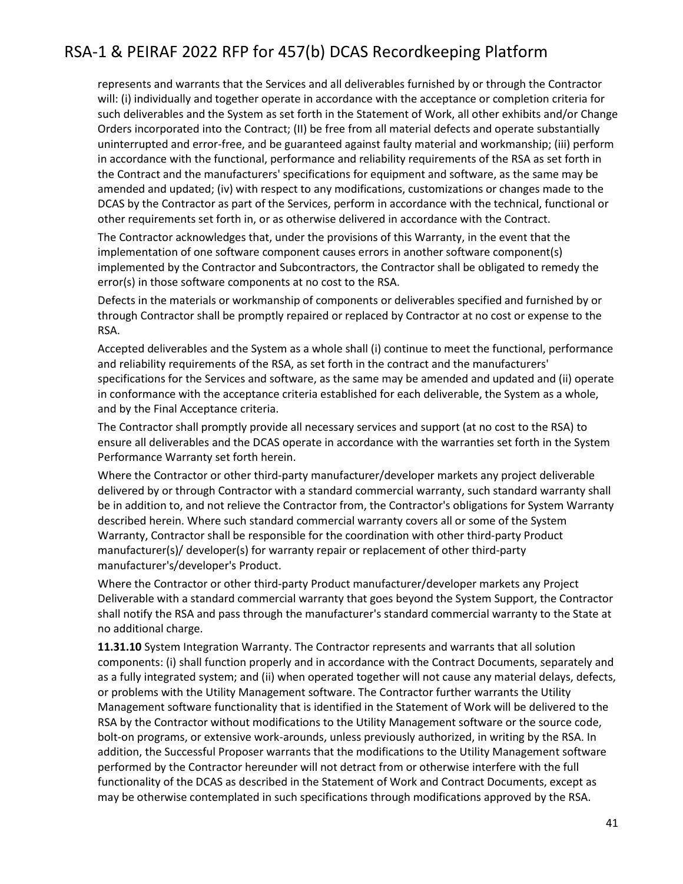represents and warrants that the Services and all deliverables furnished by or through the Contractor will: (i) individually and together operate in accordance with the acceptance or completion criteria for such deliverables and the System as set forth in the Statement of Work, all other exhibits and/or Change Orders incorporated into the Contract; (II) be free from all material defects and operate substantially uninterrupted and error-free, and be guaranteed against faulty material and workmanship; (iii) perform in accordance with the functional, performance and reliability requirements of the RSA as set forth in the Contract and the manufacturers' specifications for equipment and software, as the same may be amended and updated; (iv) with respect to any modifications, customizations or changes made to the DCAS by the Contractor as part of the Services, perform in accordance with the technical, functional or other requirements set forth in, or as otherwise delivered in accordance with the Contract.

The Contractor acknowledges that, under the provisions of this Warranty, in the event that the implementation of one software component causes errors in another software component(s) implemented by the Contractor and Subcontractors, the Contractor shall be obligated to remedy the error(s) in those software components at no cost to the RSA.

Defects in the materials or workmanship of components or deliverables specified and furnished by or through Contractor shall be promptly repaired or replaced by Contractor at no cost or expense to the RSA.

Accepted deliverables and the System as a whole shall (i) continue to meet the functional, performance and reliability requirements of the RSA, as set forth in the contract and the manufacturers' specifications for the Services and software, as the same may be amended and updated and (ii) operate in conformance with the acceptance criteria established for each deliverable, the System as a whole, and by the Final Acceptance criteria.

The Contractor shall promptly provide all necessary services and support (at no cost to the RSA) to ensure all deliverables and the DCAS operate in accordance with the warranties set forth in the System Performance Warranty set forth herein.

Where the Contractor or other third-party manufacturer/developer markets any project deliverable delivered by or through Contractor with a standard commercial warranty, such standard warranty shall be in addition to, and not relieve the Contractor from, the Contractor's obligations for System Warranty described herein. Where such standard commercial warranty covers all or some of the System Warranty, Contractor shall be responsible for the coordination with other third-party Product manufacturer(s)/ developer(s) for warranty repair or replacement of other third-party manufacturer's/developer's Product.

Where the Contractor or other third-party Product manufacturer/developer markets any Project Deliverable with a standard commercial warranty that goes beyond the System Support, the Contractor shall notify the RSA and pass through the manufacturer's standard commercial warranty to the State at no additional charge.

**11.31.10** System Integration Warranty. The Contractor represents and warrants that all solution components: (i) shall function properly and in accordance with the Contract Documents, separately and as a fully integrated system; and (ii) when operated together will not cause any material delays, defects, or problems with the Utility Management software. The Contractor further warrants the Utility Management software functionality that is identified in the Statement of Work will be delivered to the RSA by the Contractor without modifications to the Utility Management software or the source code, bolt-on programs, or extensive work-arounds, unless previously authorized, in writing by the RSA. In addition, the Successful Proposer warrants that the modifications to the Utility Management software performed by the Contractor hereunder will not detract from or otherwise interfere with the full functionality of the DCAS as described in the Statement of Work and Contract Documents, except as may be otherwise contemplated in such specifications through modifications approved by the RSA.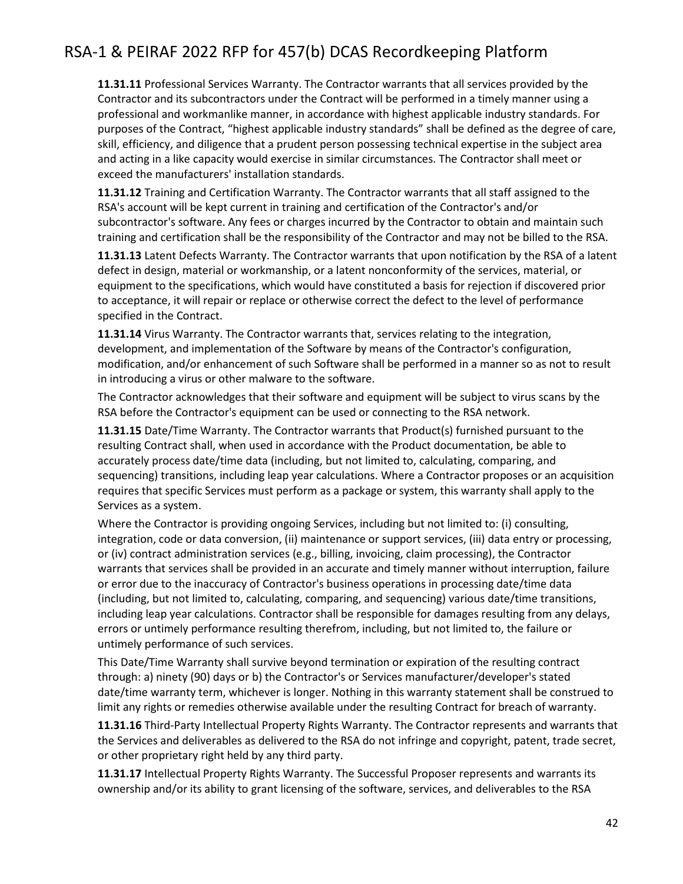**11.31.11** Professional Services Warranty. The Contractor warrants that all services provided by the Contractor and its subcontractors under the Contract will be performed in a timely manner using a professional and workmanlike manner, in accordance with highest applicable industry standards. For purposes of the Contract, "highest applicable industry standards" shall be defined as the degree of care, skill, efficiency, and diligence that a prudent person possessing technical expertise in the subject area and acting in a like capacity would exercise in similar circumstances. The Contractor shall meet or exceed the manufacturers' installation standards.

**11.31.12** Training and Certification Warranty. The Contractor warrants that all staff assigned to the RSA's account will be kept current in training and certification of the Contractor's and/or subcontractor's software. Any fees or charges incurred by the Contractor to obtain and maintain such training and certification shall be the responsibility of the Contractor and may not be billed to the RSA.

**11.31.13** Latent Defects Warranty. The Contractor warrants that upon notification by the RSA of a latent defect in design, material or workmanship, or a latent nonconformity of the services, material, or equipment to the specifications, which would have constituted a basis for rejection if discovered prior to acceptance, it will repair or replace or otherwise correct the defect to the level of performance specified in the Contract.

**11.31.14** Virus Warranty. The Contractor warrants that, services relating to the integration, development, and implementation of the Software by means of the Contractor's configuration, modification, and/or enhancement of such Software shall be performed in a manner so as not to result in introducing a virus or other malware to the software.

The Contractor acknowledges that their software and equipment will be subject to virus scans by the RSA before the Contractor's equipment can be used or connecting to the RSA network.

**11.31.15** Date/Time Warranty. The Contractor warrants that Product(s) furnished pursuant to the resulting Contract shall, when used in accordance with the Product documentation, be able to accurately process date/time data (including, but not limited to, calculating, comparing, and sequencing) transitions, including leap year calculations. Where a Contractor proposes or an acquisition requires that specific Services must perform as a package or system, this warranty shall apply to the Services as a system.

Where the Contractor is providing ongoing Services, including but not limited to: (i) consulting, integration, code or data conversion, (ii) maintenance or support services, (iii) data entry or processing, or (iv) contract administration services (e.g., billing, invoicing, claim processing), the Contractor warrants that services shall be provided in an accurate and timely manner without interruption, failure or error due to the inaccuracy of Contractor's business operations in processing date/time data (including, but not limited to, calculating, comparing, and sequencing) various date/time transitions, including leap year calculations. Contractor shall be responsible for damages resulting from any delays, errors or untimely performance resulting therefrom, including, but not limited to, the failure or untimely performance of such services.

This Date/Time Warranty shall survive beyond termination or expiration of the resulting contract through: a) ninety (90) days or b) the Contractor's or Services manufacturer/developer's stated date/time warranty term, whichever is longer. Nothing in this warranty statement shall be construed to limit any rights or remedies otherwise available under the resulting Contract for breach of warranty.

**11.31.16** Third-Party Intellectual Property Rights Warranty. The Contractor represents and warrants that the Services and deliverables as delivered to the RSA do not infringe and copyright, patent, trade secret, or other proprietary right held by any third party.

**11.31.17** Intellectual Property Rights Warranty. The Successful Proposer represents and warrants its ownership and/or its ability to grant licensing of the software, services, and deliverables to the RSA